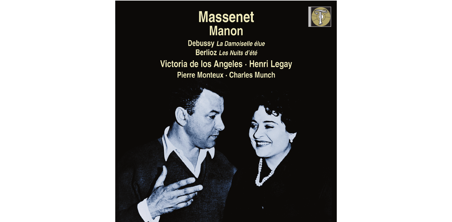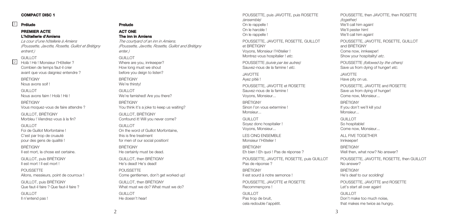### **COMPACT DISC 1**

### **Prélude**

#### **PREMIER ACTE L'hôtellerie d'Amiens**

*La cour d'une hôtellerie à Amiens (Poussette, Javotte, Rosette, Guillot et Brétigny entrent.)*

### GUILLOT

2

Holà ! Hé ! Monsieur l'Hôtelier ? Combien de temps faut-il crier avant que vous daigniez entendre ? BRÉTIGNY

Nous avons soif !

GUILLOT. Nous avons faim ! Holà ! Hé !

BRÉTIGNY Vous moquez-vous de faire attendre ?

GUILLOT, BRÉTIGNY Morbleu ! Viendrez-vous à la fin?

GUILLOT. Foi de Guillot Morfontaine ! C'est par trop de cruauté pour des gens de qualité !

BRÉTIGNY Il est mort, la chose est certaine.

GUILLOT, puis BRÉTIGNY Il est mort ! Il est mort !

POUSSETTE Allons, messieurs, point de courroux !

GUILLOT, puis BRÉTIGNY Que faut-il faire ? Que faut-il faire ?

GUILLOT. Il n'entend pas !

#### 1 **Prelude ACT ONE The inn in Amiens**

*The courtyard of an inn in Amiens.*

*(Poussette, Javotte, Rosette, Guillot and Brétigny enter.)*

#### GUILLOT

Where are you, innkeeper? How long must we shout before you deign to listen? BRÉTIGNY

We're thirsty! GUILLOT

We're famished! Are you there?

**BRÉTIGNY** You think it's a joke to keep us waiting? GUILLOT, BRÉTIGNY

Confound it! Will you never come?

GUILLOT. On the word of Guillot Morfontaine, this is fine treatment for men of our social position!

BRÉTIGNY He certainly must be dead. GUILLOT, then BRÉTIGNY

He's dead! He's dead!

POUSSETTE Come gentlemen, don't get worked up!

GUILLOT, then BRÉTIGNY What must we do? What must we do?

GUILLOT. He doesn't hear!

POUSSETTE, puis JAVOTTE, puis ROSETTE *(ensemble)* On le rappelle ! On le harcèle ! On le rappelle !

POUSSETTE, JAVOTTE, ROSETTE, GUILLOT et BRÉTIGNY Voyons, Monsieur l'Hôtelier ! Montrez-vous hospitalier ! *etc*.

POUSSETTE *(suivie par les autres)* Sauvez-nous de la famine ! *etc*.

JAVOTTE Ayez pitié !

POUSSETTE, JAVOTTE et ROSETTE Sauvez-nous de la famine ! Voyons, Monsieur...

BRÉTIGNY Sinon l'on vous extermine ! Monsieur...

GUILLOT. Soyez donc hospitalier ! Voyons, Monsieur...

LES CINQ ENSEMBLE Monsieur l'Hôtelier !

BRÉTIGNY Eh bien ! Eh quoi ! Pas de réponse ?

POUSSETTE, JAVOTTE, ROSETTE, puis GUILLOT Pas de réponse ?

BRÉTIGNY Il est sourd à notre semonce !

POUSSETTE, JAVOTTE et ROSETTE Recommençons !

GUILLOT. Pas trop de bruit cela redouble l'appétit. POUSSETTE, then JAVOTTE, then ROSETTE *(together)* We'll call him again! We'll pester him! We'll call him again!

POUSSETTE, JAVOTTE, ROSETTE, GUILLOT and BRÉTIGNY Come now, innkeeper! Show your hospitality! *etc*.

POUSSETTE *(followed by the others)* Save us from dying of hunger! *etc*.

JAVOTTE Have pity on us.

POUSSETTE, JAVOTTE and ROSETTE Save us from dying of hunger! Come now, Monsieur...

**BRÉTIGNY** If you don't we'll kill you! Monsieur.

GUILLOT. So hospitable! Come now, Monsieur...

ALL FIVE TOGETHER Innkeeper!

BRÉTIGNY Well then, what now? No answer?

POUSSETTE, JAVOTTE, ROSETTE, then GUILLOT No answer?

**BRÉTIGNY** He's deaf to our scolding!

POUSSETTE, JAVOTTE and ROSETTE Let's start all over again!

GUILLOT Don't make too much noise, that makes me twice as hungry.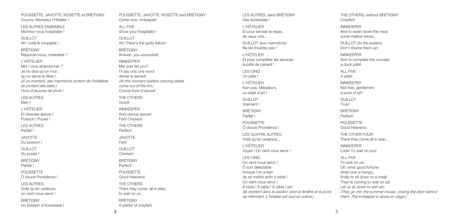POUSSETTE, JAVOTTE, ROSETTE et BRÉTIGNY Voyons, Monsieur l'Hôtelier !

LES AUTRES ENSEMBLE Montrez-vous hospitalier !

GUILLOT.

Ah ! voilà le coupable !

BRÉTIGNY

Réponds-nous, misérable ?

L'HÔTELIER Moi ! vous abandonner ? Je ne dirai qu'un mot : qu'on serve le dîner ! *(À ce moment, des marmitons sortent de l'hôtellerie en portant des plats.)* Hors-d'œuvres de choix ! LES AUTRES

Bien !

L'HÔTELIER Et diverses épices ! Poisson ! Poulet !

LES AUTRES Parfait !

JAVOTTE Du poisson !

GUILLOT.

Du poulet !

BRÉTIGNY

Parfait !

POUSSETTE Ô douce Providence !

LES AUTRES

Voilà qu'en cadence, on vient nous servir !

BRÉTIGNY Un buisson d'écrevisses ! POUSSETTE, JAVOTTE, ROSETTE and BRÉTIGNY Come now, innkeeper!

ALL FIVE Show your hospitality! GUILLOT. Ah! There's the guilty fellow! BRÉTIGNY Answer, you scoundrel! INNKEEPER Me! ever fail you? I'll say only one word: dinner is served! *(At this moment waiters carrying plates come out of the inn.)* Choice hors-d'œuvre! THE OTHERS Good! INNKEEPER And various spices! Fish! Chicken! THE OTHERS Perfect! JAVOTTE Fish! GUILLOT. Chicken! BRÉTIGNY Perfect! POUSSETTE Good Heavens! THE OTHERS

There they come, all in step, to wait on us. **BRÉTIGNY** A platter of crayfish!

LES AUTRES, sans BRÉTIGNY Des écrevisses !

L'HÔTELIER Et pour arroser le repas, de vieux vins...

GUILLOT *(aux marmitons)* Ne les troublez pas !

L'HÔTELIER Et pour compléter les services : le pâté de canard !

LES CINQ Un pâté !

L'HÔTELIER Non pas, Messieurs, un objet d'art !

GUILLOT. Vraiment !

BRÉTIGNY Parfait !

POUSSETTE Ô douce Providence !

LES QUATRE AUTRES Voilà qu'en cadence...

L'HÔTELIER Voyez ! On vient vous servir ! LES CINQ On vient nous servir ! Ô sort délectable lorsque l'on a faim de se mettre enfin à table ! On vient nous servir ! À table ! À table ! À table ! *etc*. *(Ils rentrent dans le pavillon dont la fenêtre et la porte se referment. L'hôtelier est seul en scène.)*

THE OTHERS, without BRÉTIGNY Crayfish!

INNKEEPER And to wash down the meal some mellow wines...

GUILLOT *(to the waiters)* Don't shame them up!

INNKEEPER And to complete the courses: a duck pâté!

ALL FIVE A pâté! INNKEEPER Not that, gentlemen, a work of art! GUILLOT. Truly! BRÉTIGNY Perfect! POUSSETTE Good Heavens!

THE OTHER FOUR There they come all in step...

INNKEEPER Look! To wait on you! ALL FIVE

To wait on us! Oh, what good fortune when one is hungry. finally to sit down to a meal! They're coming to wait on us! Let us sit down to eat! *etc*. *(They go into the summer-house, closing the door behind them. The innkeeper is alone on stage.)*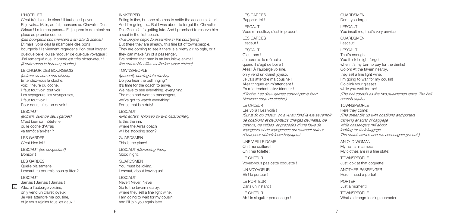### L'HÔTELIER

C'est très bien de dîner ! Il faut aussi payer ! Et je vais... Mais, au fait, pensons au Chevalier Des Grieux ! Le temps passe... Et j'ai promis de retenir sa place au premier coche. *(Les bourgeois commencent à envahir la scène.)* Et mais, voilà déjà la ribambelle des bons bourgeois ! Ils viennent regarder si l'on peut lorgner quelque belle, ou se moquer de quelque voyageur ! J'ai remarqué que l'homme est très observateur ! *(Il entre dans le bureau ; cloche.)*

#### LE CHŒUR DES BOURGEOIS

*(entrant au son d'une cloche)* Entendez-vous la cloche, voici l'heure du coche, il faut tout voir, tout voir ! Les voyageurs, les voyageuses, il faut tout voir ! Pour nous, c'est un devoir ! LESCAUT

*(entrant, suivi de deux gardes)* C'est bien ici l'hôtellerie où le coche d'Arras va tantôt s'arrêter ?

### LES GARDES C'est bien ici !

LESCAUT *(les congédiant)* Bonsoir !

### LES GARDES

Quelle plaisanterie ! Lescaut, tu pourrais nous quitter ?

### LESCAUT

3

Jamais ! Jamais ! Jamais ! Allez à l'auberge voisine, on y vend un clairet joyeux. Je vais attendre ma cousine, et je vous rejoins tous les deux !

### INNKEEPER

Eating is fine, but one also has to settle the accounts, later! And I'm going to... But I was about to forget the Chevalier Des Grieux? It's getting late. And I promised to reserve him a seat in the first coach.

*(The people begin to assemble in the courtyard)* But there they are already, this fine lot of townspeople. They are coming to see if there is a pretty girl to ogle, or if they can make fun of a passenger. I've noticed that man is an inquisitive animal! *(He enters his office as the inn-clock strikes)*

#### TOWNSPEOPLE

*(gradually coming into the inn)* Do you hear the bell ringing? It's time for the coach to arrive. We have to see everything, everything. The men and women passengers, we've got to watch everything! For us that is a duty!

#### LESCAUT

*(who enters, followed by two Guardsmen)* Is this the inn, where the Arras coach will be stopping soon?

#### **GUARDSMEN**

This is the place!

LESCAUT *(dismissing them)* Good night!

### **GUARDSMEN**

You must be joking, Lescaut, about leaving us!

### LESCAUT

Never! Never! Never! Go to the tavern nearby, where they sell a fine light wine. I am going to wait for my cousin. and I'll join you again later.

#### LES GARDES Rappelle-toi !

LESCAUT Vous m'insultez, c'est imprudent !

LES GARDES Lescaut ! LESCAUT

### C'est bon ! Je perdrais la mémoire quand il s'agit de boire ! Allez ! À l'auberge voisine, on y vend un clairet joyeux. Je vais attendre ma cousine ! Allez trinquer en m'attendant ! En m'attendant, allez trinquer ! *(Cloche. Les deux gardes sortent par le fond. Nouveau coup de cloche.)*

### LE CHŒUR

Les voilà ! Les voilà !

*(Sur la fin du chœur, on a vu au fond la rue se remplir de postillons et de porteurs chargés de malles, de cartons, de valises, et précédés d'une foule de voyageurs et de voyageuses qui tournent autour d'eux pour obtenir leurs bagages.)*

UNE VIEILLE DAME Oh ! ma coiffure ! Oh ! ma toilette !

LE CHŒUR Voyez-vous pas cette coquette !

UN VOYAGEUR Eh ! le porteur !

LE PORTEUR Dans un instant !

LE CHŒUR Ah ! le singulier personnage !

## GUARDSMEN Don't you forget!

LESCAUT You insult me, that's very unwise! **GUARDSMENT** Lescaut! LESCAUT That's enough! You think I might forget when it's my turn to pay for the drinks! Go on! At the tavern nearby, they sell a fine light wine. I'm going to wait for my cousin! Go clink your glasses while you wait for me! *(The bell sounds as the two guardsmen leave. The bell sounds again.)*

### TOWNSPEOPLE

Here they come! *(The street fills up with postilions and porters carrying all sorts of baggage while passengers mill about, looking for their luggage. The coach arrives and the passengers get out.)*

AN OLD WOMAN My hair is in a mess! My clothes are in a fine state!

TOWNSPEOPLE Just look at that coquette!

ANOTHER PASSENGER Here, I need a porter!

PORTER Just a moment!

TOWNSPEOPLE What a strange-looking character!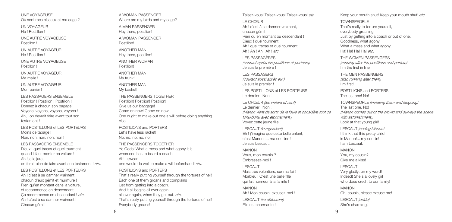UNE VOYAGEUSE Où sont mes oiseaux et ma cage ?

UN VOYAGEUR Hé ! Postillon !

UNE AUTRE VOYAGEUSE Postillon !

UN AUTRE VOYAGEUR Hé ! Postillon !

UNE AUTRE VOYAGEUSE Postillon !

UN AUTRE VOYAGEUR Ma malle !

UN AUTRE VOYAGEUR Mon panier !

LES PASSAGERS ENSEMBLE Postillon ! Postillon ! Postillon ! Donnez à chacun son bagage ! Voyons, voyons, voyons, voyons ! Ah, l'on devrait faire avant tout son testament !

LES POSTILLONS et LES PORTEURS Moins de tapage ! Non, non, non, non, non !

LES PASSAGERS ENSEMBLE

Dieux ! quel tracas et quel tourment quand il faut monter en voiture ! Ah ! je le jure.

on ferait bien de faire avant son testament ! *etc*.

LES POSTILLONS et LES PORTEURS Ah I c'est à se damner vraiment chacun d'eux gémit et murmure ! Rien qu'en montant dans la voiture, et recommence en descendant ! Ça recommence en descendant ! *etc*. Ah ! c'est à se damner vraiment ! Chacun gémit!

A WOMAN PASSENGER Where are my birds and my cage?

A MAN PASSENGER Hey there, postilion! A WOMAN PASSENGER

Postilion!

ANOTHER MAN Hey there, postilion!

ANOTHER WOMAN Postilion!

ANOTHER MAN My trunk!

ANOTHER MAN My basket! THE PASSENGERS TOGETHER Postilion! Postilion! Postilion! Give us our baggage! Come on now! Come on now! One ought to make out one's will before doing anything else!

POSTILIONS and PORTERS Let's have less racket! No, no, no, no! THE PASSENGERS TOGETHER Ye Gods! What a mess and what agony it is when one has to board a coach. Ah! I swear,

one would do well to make a will beforehand! *etc.*

POSTILIONS and PORTERS

That's really putting yourself through the tortures of hell! Each one of them groans and complains just from getting into a coach. And it all begins all over again, all over again, when they get out. *etc*. That's really putting yourself through the tortures of hell! Everybody groans!

Taisez-vous! Taisez-vous! Taisez-vous! *etc*. LE CHŒUR Ah ! c'est à se damner vraiment, chacun gémit ! Rien qu'en montant ou descendant ! Dieux ! quel tourment ! Ah ! quel tracas et quel tourment ! Ah ! Ah ! Ah ! Ah ! *etc*.

LES PASSAGÈRES *(courant après les postillons et porteurs)* Je suis la première !

LES PASSAGERS *(courant aussi après eux)* Je suis le premier !

LES POSTILLONS et LES PORTEURS Le dernier ! Non !

LE CHŒUR *(les imitant et riant)* Le dernier ! Non ! *(Manon vient de sortir de la foule et considère tout ce tohu-bohu avec étonnement.)* Voyez cette jeune fille !

LESCAUT *(le regardant)* Eh ! j'imagine que cette belle enfant, c'est Manon !... ma cousine ! Je suis Lescaut.

MANON Vous, mon cousin ? Embrassez-moi !

LESCAUT Mais très volontiers, sur ma foi ! Morbleu ! C'est une belle fille qui fait honneur à la famille !

MANON Ah ! Mon cousin, excusez-moi !

LESCAUT *(se détourant)* Elle est charmante !

Keep your mouth shut! Keep your mouth shut! *etc*.

TOWNSPEOPLE That's really to torture yourself, everybody groaning! Just by getting into a coach or out of one. Goodness, what agony! What a mess and what agony. Ha! Ha! Ha! Ha! *etc*.

THE WOMEN PASSENGERS *(running after the postilions and porters)* I'm the first in line!

THE MEN PASSENGERS *(also running after them)* I'm first!

POSTILIONS and PORTERS The last one! No!

TOWNSPEOPLE *(imitating them and laughing)* The last one. No! *(Manon comes out of the crowd and surveys the scene with astonishment.)* Look at that young girl!

LESCAUT *(seeing Manon)* I think that this pretty child is Manon!... my cousin! I am Lescaut.

MANON You, my cousin? Give me a kiss!

LESCAUT Very gladly, on my word! Indeed! She's a lovely girl who does credit to our family!

MANON Oh, cousin, please excuse me! LESCAUT *(aside)* She's charming!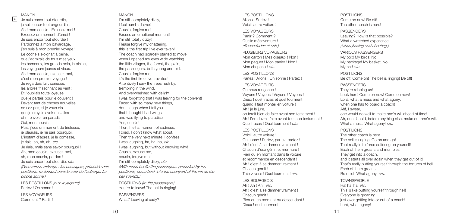### MANON

MANON MANON<br>4 Je suis encor tout étourdie, the suis encor tout étourdie, je suis encor tout engourdie ! .<br>Ah I mon cousin I Eyeusez-moi I Excusez un moment d'émoi ! Je suis encor tout étourdie ! Pardonnez à mon bavardage, j'en suis à mon premier voyage ! Le coche s'éloignait à peine, que j'admirais de tous mes yeux, les hameaux, les grands bois, la plaine, les voyageurs jeunes et vieux. Ah ! mon cousin, excusez-moi, c'est mon premier voyage ! Je regardais fuir, curieuse, les arbres frissonnant au vent ! Et j'oubliais toute joyeuse, que je partais pour le couvent ! Devant tant de choses nouvelles, ne riez pas, si je vous dis que je croyais avoir des ailes et m'envoler en paradis ! Oui, mon cousin ! Puis, j'eus un moment de tristesse, je pleurais, je ne sais pourquoi. L'instant d'après, je le confesse, je riais, ah, ah, ah, *etc*. Je riais, mais sans savoir pourquoi ! Ah, mon cousin, excusez-moi, ah, mon cousin, pardon ! Je suis encor tout étourdie, *etc*. *(Gros remue-ménage : les passagers, précédés des postillons, reviennent dans la cour de l'auberge. La cloche sonne.)* LES POSTILLONS *(aux voyageurs)*

Partez ! On sonne !

LES VOYAGEURS Comment ? Partir !

I'm still completely dizzy, I feel numb all over! Cousin, forgive me! Excuse an emotional moment! I'm still totally dizzy! Please forgive my chattering, this is the first trip I've ever taken! The coach had scarcely started to move when I opened my eyes wide watching the little villages, the forest, the plain, the passengers, both young and old. Cousin, forgive me, it's the first time I've travelled! Attentively I saw the trees rush by, trembling in the wind. And overwhelmed with delight I was forgetting that I was leaving for the convent! Faced with so many new things, don't laugh when I tell you that I thought I had wings and was flying to paradise! Yes, cousin! Then, I felt a moment of sadness I cried, I don't know what about. Then the very next minute, I confess I was laughing, ha, ha, ha, *etc*. I was laughing, but without knowing why! Cousin, excuse me, cousin, forgive me! I'm still completely dizzy, *etc*. *(With much bustle the passengers, preceded by the postilions, come back into the courtyard of the inn as the bell sounds.)* POSTILIONS *(to the passengers)* You're to leave! The bell is ringing!

PASSENGERS What? Leaving already?

#### LES POSTILLONS Allons ! Sortez ! Voici l'autre voiture !

LES VOYAGEURS Partir ? Comment ? Quelle mésaventure ! *(Bousculades et cris.)*

PLUSIEURS VOYAGEURS Mon carton ! Mes oiseaux ! Non ! Mon paquet ! Mon panier ! Non ! Mon chapeau ! *etc*.

LES POSTILLONS Partez ! Allons ! On sonne ! Partez !

LES VOYAGEURS On nous rançonne ! Voyons ! Voyons ! Voyons ! Voyons ! Dieux ! quel tracas et quel tourment, quand il faut monter en voiture ! Ah ! je le jure, on ferait bien de faire avant son testament ! Ah ! l'on devrait faire avant tout son testament ! Quel tracas ! Quel tourment ! *etc*.

#### LES POSTILLONS

Voici l'autre voiture ! On sonne ! Partez, partez, partez ! Ah ! c'est à se damner vraiment ! Chacun d'eux gémit et murmure ! Rien qu'en montant dans la voiture et recommence en descendant ! Ah I c'est à se damner vraiment l Chacun gémit ! Taisez-vous ! Quel tourment ! *etc*.

### LES BOURGEOIS

Ah ! Ah ! Ah ! *etc*. Ah ! c'est à se damner vraiment ! Chacun gémit ! Rien qu'en montant ou descendant ! Dieux ! quel tourment !

POSTILIONS Come on now! Be off! The other coach is here!

#### **PASSENGERS**

Leaving? How is that possible? What a wretched experiencel *(Much jostling and shouting.)*

VARIOUS PASSENGERS My box! My birds! No! My package! My basket! No! My hat! *etc*.

POSTILIONS Be off! Come on! The bell is ringing! Be off!

#### **PASSENGERS**

They're robbing us! Look here! Come on now! Come on now! Lord, what a mess and what agony, when one has to board a coach! Ah!, I sweer one would do well to make one's will ahead of time! Ah, one should, before anything else, make out one's will. What a mess! What agony! *etc*.

#### POSTILIONS

The other coach is here. The bell is ringing! Go on and go! That really is to force suffering on yourself! Each of them groans and mumbles! They get into a coach, and it starts all over again when they get out of it! That's really putting yourself through the tortures of hell! Each of them groans! Be quiet! What agony! *etc*. TOWNSPEOPLE Ha! ha! ha! *etc*. This is like putting yourself through hell! Everyone is groaning, just over getting into or out of a coach! Lord, what agony!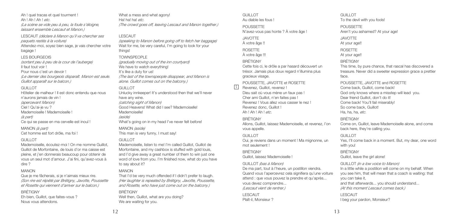Ah ! quel tracas et quel tourment ! Ah ! Ah ! Ah ! *etc*. *(La scène se vide peu à peu, la foule s'éloigne, laissant ensemble Lescaut et Manon.)*

LESCAUT *(déclare à Manon qu'il va chercher ses paquets restés à la voiture)* Attendez-moi, soyez bien sage, je vais chercher votre bagage !

#### LES BOURGEOIS

*(sortant peu à peu de la cour de l'auberge)* Il faut tout voir ! Pour nous c'est un devoir ! *(Le dernier des bourgeois disparaît. Manon est seule. Guillot apparaît sur le balcon.)*

#### GUILLOT.

Hôtelier de malheur ! Il est donc entendu que nous n'aurons jamais de vin ! *(apercevant Manon)* Ciel ! Qu'ai-je vu ? Mademoiselle ! Mademoiselle ! *(à part)* Ce qui se passe en ma cervelle est inouï !

## MANON *(à part)*

Cet homme est fort drôle, ma foi !

### GUILLOT.

Mademoiselle, écoutez-moi ! On me nomme Guillot, Guillot de Morfontaine, de louis d'or ma caisse est pleine, et j'en donnerais beaucoup pour obtenir de vous un seul mot d'amour. J'ai fini, qu'avez-vous à dire ?

### MANON

Que je me fâcherais, si je n'aimais mieux rire. *(Son rire est répété par Brétigny, Javotte, Poussette et Rosette qui viennent d'arriver sur le balcon.)*

### BRÉTIGNY

Eh bien, Guillot, que faites-vous ? Nous vous attendons.

What a mess and what agony! Ha! ha! ha! *etc*. *(The crowd goes off, leaving Lescaut and Manon together.)*

### LESCAUT

*(speaking to Manon before going off to fetch her baggage)* Wait for me, be very careful, I'm going to look for your things!

### TOWNSPEOPLE

*(gradually moving out of the inn courtyard)* We have to watch everything! It's like a duty for us! *(The last of the townspeople disappear, and Manon is alone. Guillot comes out on the balcony.)*

### GUILLOT.

Unlucky innkeeper! It's understood then that we'll never have any wine. *(catching sight of Manon)* Good Heavens! What did I see? Mademoiselle! Mademoiselle! *(aside)* What's going on in my head I've never felt before! MANON *(aside)*

This man is very funny, I must say!

### GUILLOT

Mademoiselle, listen to me! I'm called Guillot, Guillot de Morfontaine, and my cashbox is stuffed with gold louis, and I'd give away a great number of them to win just one word of love from you. I'm finished now, what do you have to say about it?

### MANON

That I'd be very much offended if I didn't prefer to laugh. *(Her laughter is repeated by Brétigny, Javotte, Poussette, and Rosette, who have just come out on the balcony.)*

### BRÉTIGNY

Well then, Guillot, what are you doing? We are waiting for you.

GUILLOT. Au diable les fous !

POUSSETTE N'avez-vous pas honte ? À votre âge !

JAVOTTE À votre âge !!

ROSETTE

À votre âge !!!

BRÉTIGNY

Cette fois ci, le drôle a par hasard découvert un trésor. Jamais plus doux regard n'illumina plus gracieux visage.

POUSSETTE, JAVOTTE et ROSETTE

Revenez, Guillot, revenez ! Dieu sait où vous mène un faux pas ! Cher ami Guillot, n'en faites pas ! Revenez ! Vous allez vous casser le nez ! Revenez donc, Guillot ! Ah ! Ah ! Ah ! *etc*.

### BRÉTIGNY

 $\sqrt{5}$ 

Allons, Guillot, laissez Mademoiselle, et revenez, l'on vous appelle.

### GUILLOT.

Oui, je reviens dans un moment ! Ma mignonne, un mot seulement !

#### BRÉTIGNY Guillot, laissez Mademoiselle !

#### GUILLOT *(bas à Manon)*

De ma part, tout à l'heure, un postillon viendra. Quand vous l'apercevrez cela signifiera qu'une voiture attend : que vous pouvez la prendre et qu'après... vous devez comprendre... *(Lescaut vient de rentrer.)*

LESCAUT Plaît-il, Monsieur ? GUILLOT To the devil with you fools! POUSSETTE

Aren't you ashamed? At your age! JAVOTTE At your age!! ROSETTE At your age!! BRÉTIGNY This time, by pure chance, that rascal has discovered a treasure. Never did a sweeter expression grace a prettier face.

POUSSETTE, JAVOTTE and ROSETTE Come back, Guillot, come back! God only knows where a misstep will lead you. Dear friend Guillot, don't do it! Come back! You'll fail miserably! So come back, Guillot! Ha, ha, ha, *etc*.

### **BRÉTIGNY**

Come on, Guillot, leave Mademoiselle alone, and come back here, they're calling you.

#### GUILLOT

Yes, I'll come back in a moment. But, my dear, one word with you!

**BRÉTIGNY** Guillot, leave the girl alone!

### GUILLOT *(in a low voice to Manon)*

In a little while a postilion will come on my behalf. When you see him, that will mean that a coach is waiting: that you can take it, and that afterwards... you should understand... *(At this moment Lescaut comes back.)*

LESCAUT I beg your pardon, Monsieur?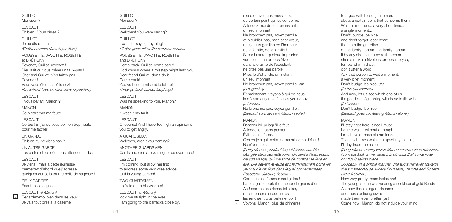#### GUILLOT Monsieur 2

LESCAUT Eh bien ! Vous disiez ?

### GUILLOT

Je ne disais rien ! *(Guillot se retire dans le pavillon.)*

POUSSETTE, JAVOTTE, ROSETTE et BRÉTIGNY Revenez, Guillot, revenez ! Dieu sait où vous mène un faux-pas ! Cher ami Guillot, n'en faites pas. Revenez ! Vous vous êtes cassé le nez!

*(Ils rentrent tous en riant dans le pavillon.)*

LESCAUT

Il vous parlait, Manon ?

MANON Ce n'était pas ma faute.

LESCAUT Certes ! Et j'ai de vous opinion trop haute pour me fâcher.

UN GARDE Eh bien, tu ne viens pas ?

UN AUTRE GARDE Les cartes et les dés nous attendent là-bas !

### LESCAUT

6

Je viens ; mais à cette jeunesse permettez d'abord que j'adresse quelques conseils tout remplis de sagesse !

DEUX GARDES Écoutons la sagesse !

LESCAUT *(à Manon)* Regardez-moi bien dans les yeux ! Je vais tout près à la caserne,

GUILLOT. Monsieur?

LESCAUT Well then! You were saying?

GUILLOT. I was not saying anything! *(Guillot goes off to the summer-house.)*

POUSSETTE, JAVOTTE, ROSETTE and BRÉTIGNY Come back, Guillot, come back! God knows where a misstep might lead you! Dear friend Guillot, don't do it. Come back! You've been a miserable failure! *(They go back inside, laughing.)* LESCAUT Was he speaking to you, Manon?

MANON

It wasn't my fault.

LESCAUT Of course! And I have too high an opinion of you to get angry.

A GUARDSMAN Well then, aren't you coming?

ANOTHER GUARDSMEN Cards and dice are waiting for us over there!

### LESCAUT

I'm coming; but allow me first to address some very wise advice to this young person!

TWO GUARDSMEN Let's listen to his wisdom!

LESCAUT *(to Manon)* look me straight in the eyes! I am going to the barracks close by.

discuter avec ces messieurs, de certain point qui les concerne. Attendez-moi donc... un instant... un seul moment... Ne bronchez pas, soyez gentille, et n'oubliez pas, mon cher cœur, que je suis gardien de l'honneur de la famille, de la famille ! Si par hasard, quelque imprudent vous tenait un propos frivole, dans la crainte de l'accident, ne dites pas une parole. Priez-le d'attendre un instant, un seul moment !... Ne bronchez pas, soyez gentille, *etc*. *(aux gardes)* Et maintenant, voyons à qui de nous la déesse du jeu va faire les yeux doux ! *(à Manon)* Ne bronchez pas, soyez gentille ! *(Lescaut sort, laissant Manon seule.)*

### MANON

Restons ici, puisqu'il le faut ! Attendons... sans penser ! Évitons ces folies. Ces projets qui mettaient ma raison en défaut ! Ne rêvons plus !

*(Long silence, pendant lequel Manon semble plongée dans ses réflexions. On sent à l'expression de son visage, qu'une sorte de combat se livre en elle. Elle devient rêveuse et machinalement porte les yeux sur le pavillon dans lequel sont enfermées Poussette, Javotte, Rosette.)* Combien ces femmes sont jolies ! La plus jeune portait un collier de grains d'or ! Ah ! comme ces riches toilettes, et ces parures si coquettes

les rendaient plus belles encor !

Voyons, Manon, plus de chimères !

to argue with these gentlemen. about a certain point that concerns them. Wait for me then... a very short time... a single moment... Don't' budge, be nice. and don't forget, dear heart, that I am the guardian of the family honour, the family honour! If by any chance, some rash person should make a frivolous proposal to you, for fear of a mishap, don't utter a word. Ask that person to wait a moment, a very brief moment!... Don't budge, be nice, *etc*. *(to the guardsmen)* And now, let us see which one of us the goddess of gambling will chose to flirt with! *(to Manon)* Don't budge, be nice! *(Lescaut goes off, leaving Manon alone.)*

### MANON

I'll stay right here, since I must! Let me wait... without a thought! I must avoid these distractions. Those schemes which so upset my thinking. I'll daydream no more! *(Long silence during which Manon seems lost in reflection. From the look on her face, it is obvious that some inner conflict is taking place. Suddenly, in a simple manner, she turns her eyes towards the summer-house, where Poussette, Javotte and Rosette are still eating.)* How very pretty those ladies are! The youngest one was wearing a necklace of gold Beads! Ah! how those elegant dresses and those enticing jewels made them even prettier yet! Come now, Manon, do not indulge your mind!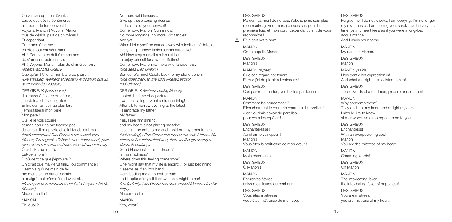Où va ton esprit en rêvant... Laisse ces désirs éphémères à la porte de ton couvent ! Voyons, Manon ! Voyons, Manon, plus de désirs, plus de chimères ! Et cependant !... Pour mon âme ravie en elles tout est séduisant ! Ah ! Combien ce doit être amusant de s'amuser toute une vie ! Ah ! Voyons, Manon, plus de chimères, *etc*. *(apercevant Des Grieux)* Quelqu'un ! Vite, à mon banc de pierre ! *(Elle s'assied vivement et reprend la position que lui avait indiquée Lescaut.)* DES GRIEUX *(sans la voir)* J'ai marqué l'heure du départ, j'hésitais... chose singulière ! Enfin, demain soir au plus tard j'embrasserai mon père ! Mon père ! Oui, je le vois sourire, et mon cœur ne me trompe pas ! Je le vois, il m'appelle et je lui tends les bras ! *(involontairement Des Grieux s'est tourné vers Manon, il la regarde d'abord avec étonnement, puis avec extase et comme si une vision lui apparaissait)* Ô ciel ! Est-ce un rêve ? Est-ce la folie ? D'où vient ce que j'éprouve ? On dirait que ma vie va finir... ou commence ! Il semble qu'une main de fer me mène en un autre chemin et malgré moi m'entraîne devant elle ! *(Peu à peu et involontairement il s'est rapproché de Manon.)* Mademoiselle ! MANON

Eh, quoi ?

When I let myself be carried away with feelings of delight. everything in those ladies seems attractive! Ah! How very marvellous it must be to enjoy oneself for a whole lifetime! Come now, Manon,no more wild fancies, *etc*. *(She sees Des Grieux.)* Someone's here! Quick, back to my stone bench! *(She goes back to the spot where Lescaut had left her.)*

DES GRIEUX *(without seeing Manon)* I noted the time of departure, I was hesitating... what a strange thing! After all, tomorrow evening at the latest I'll embrace my father! My father! Yes, I see him smiling, and my heart is not playing me false!

I see him, he calls to me and I hold out my arms to him! *(Unknowingly, Des Grieux has turned towards Manon. He stares at her astonished and, then, as though seeing a vision, in ecstacy.)* Good Heavens! Is this a dream?

Is this madness? Where does this feeling come from? One might say that my life is ending... or just beginning! It seems as if an iron hand were leading me onto anther path, and it spite of myself it draws me straight to her! *(Involuntarily, Des Grieux has approached Manon, step by step.)* Mademoiselle!

MANON Yes, what?

### DES GRIEUX

Pardonnez-moi ! Je ne sais, j'obéis, je ne suis plus mon maître, je vous vois, j'en suis sûr, pour la première fois, et mon cœur cependant vient de vous reconnaître !

Et je sais votre nom...  $\sqrt{8}$ 

> MANON On m'appelle Manon.

DES GRIEUX Manon !

MANON *(à part)* Que son regard est tendre ! Et que j'ai de plaisir à l'entendre !

DES GRIEUX Ces paroles d'un fou, veuillez les pardonner !

MANON

Comment les condamner ? Elles charment le cœur en charmant les oreilles ! J'en voudrais savoir de pareilles pour vous les répéter !

DES GRIEUX Enchanteresse ! Au charme vainqueur ! Manon I Vous êtes la maîtresse de mon cœur !

MANON Mots charmants !

DES GRIEUX Ô Manon !

MANON

Enivrantes fièvres, enivrantes fièvres du bonheur !

DES GRIEUX Vous êtes maîtresse, vous êtes maîtresse de mon cœur !

### DES GRIEUX

Forgive me! I do not know... I am obeying, I'm no longer my own master. I am seeing you, surely, for the very first time, yet my heart feels as if you were a long-lost acquaintance!

And I know your name...

MANON My name is Manon.

DES GRIEUX Manon!

MANON *(aside)* How gentle his expression is! And what a delight it is to listen to him!

DES GRIEUX These words of a madman, please excuse them!

MANON

Why condemn them? They enchant my heart and delight my ears! I should like to know similar words so as to repeat them to you!

DES GRIEUX Enchantress! With an overpowering spell! Manon! You are the mistress of my heart!

MANON Charming words!

DES GRIEUX Oh Manon!

MANON The intoxicating fever, the intoxicating fever of happiness!

DES GRIEUX You are mistress, you are mistress of my heart!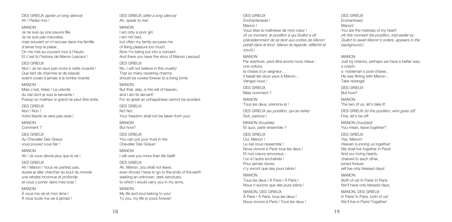DES GRIEUX *(après un long silence)* Ah ! Parlez-moi !

### MANON

Je ne suis qu'une pauvre fille. Je ne suis pas mauvaise, mais souvent on m'accuse dans ma famille d'aimer trop le plaisir. On me met au couvent tout à l'heure. Et c'est là l'histoire de Manon Lescaut !

DES GRIEUX

Non ! Je ne veux pas croire à cette cruauté ! Que tant de charmes et de beauté soient voués à jamais à la tombe vivante.

#### MANON

Mais c'est, hélas ! La volonté du ciel dont je suis la servante ! Puisqu'un malheur si grand ne peut être évité.

DES GRIEUX Non ! Non ! Votre liberté ne sera pas ravie !

MANON Comment ?

DES GRIEUX Au Chevalier Des Grieux vous pouvez vous fier !

#### MANON

Ah ! Je vous devrai plus que la vie !

#### DES GRIEUX

Ah ! Manon ! Vous ne partirez pas, dussé-je aller chercher au bout du monde une retraite inconnue et profonde et vous y porter dans mes bras !

### MANON

À vous ma vie et mon âme ! À vous toute ma vie à jamais ! DES GRIEUX *(after a long silence)* Ah, speak to me!

### MANON

I am only a poor girl. I am not bad, but often my family accuses me of liking pleasure too much. Now I'm being put into a convent. And there you have the story of Manon Lescaut!

#### DES GRIEUX

No, I will not believe in this cruelty! That so many ravishing charms should be vowed forever to a living tomb.

### MANON

But that, alas, is the will of heaven, and I am its servant! For so great an unhappiness cannot be avoided.

#### DES GRIEUX No! No!

Your freedom shall not be taken from you!

MANON But how?

#### DES GRIEUX You can put your trust in the Chevalier Des Grieux!

MANON I will owe you more than life itself!

#### DES GRIEUX

Ah, Manon, you shall not leave, even should I have to go to the ends of the earth seeking an unknown, dark sanctuary, to which I would carry you in my arms.

### MANON

My life and soul belong to you! To you, my life is yours forever!

#### DES GRIEUX Enchanteresse !

Manon ! Vous êtes la maîtresse de mon cœur ! *(À ce moment, le postillon à qui Guillot a dit précédemment de se tenir aux ordres de Manon paraît dans le fond. Manon le regarde, réfléchit et sourit.)*

# MANON

Par aventure, peut-être avons-nous mieux : une voiture, la chaise d'un seigneur... Il faisait les doux yeux à Manon... Vengez-vous !

DES GRIEUX Mais comment ?

MANON Tous les deux, prenons-la ! DES GRIEUX *(au postillon, qui se retire)*

Soit, partons !

MANON *(troublée)* Et quoi, partir ensemble ?

### DES GRIEUX Oui, Manon ! Le ciel nous rassemble ! Nous vivrons à Paris tous les deux ! Et nos cœurs amoureux... l'un à l'autre enchaînés ! Pour jamais réunis, n'y vivront que des jours bénis !

#### MANON Tous les deux ! À Paris ! À Paris ! Nous n'aurons que des jours bénis !

MANON, DES GRIEUX À Paris ! À Paris, tous les deux ! Nous vivrons à Paris ! Tous les deux ! DES GRIEUX Enchantress! Manon! You are the mistress of my heart! *(At this moment the postilion, told earlier by Guillot to await Manon's orders, appears in the*

#### MANON

*background.)*

Just by chance, perhaps we have a better way: a coach, a nobleman's post-chaise... He was flirting with Manon... Take revenge! DES GRIEUX But how? MANON The two of us, let's take it! DES GRIEUX *(to the postilion, who goes off)* Fine, let's be off! MANON *(troubled)* You mean, leave together? DES GRIEUX Yes, Manon! Heaven is joining us together! We shall live together in Paris! And our loving hearts, chained to each other, joined forever, will live only blessed days! MANON

Both of us! In Paris! In Paris. We'll have only blessed days.

MANON, DES GRIEUX In Paris! In Paris, both of us! We'll live in Paris! Together!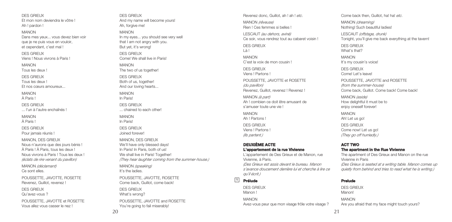DES GRIEUX Et mon nom deviendra le vôtre ! Ah ! pardon !

MANON Dans mes yeux... vous devez bien voir que je ne puis vous en vouloir, et cependant, c'est mal !

DES GRIEUX Viens ! Nous vivrons à Paris !

MANON

Tous les deux !

DES GRIEUX Tous les deux !

Et nos cœurs amoureux...

MANON À Paris !

DES GRIEUX ... l'un à l'autre enchaînés !

MANON À Paris !

DES GRIEUX Pour jamais réunis !

MANON, DES GRIEUX Nous n'aurons que des jours bénis ! À Paris ! À Paris, tous les deux ! Nous vivrons à Paris ! Tous les deux ! *(éclats de rire venant du pavillon)*

MANON *(déclamant)* Ce sont elles.

POUSSETTE, JAVOTTE, ROSETTE Revenez, Guillot, revenez !

DES GRIEUX

Qu'avez-vous ?

POUSSETTE, JAVOTTE et ROSETTE Vous allez vous casser le nez !

DES GRIEUX And my name will become yours! Ah, forgive me! MANON In my eyes... you should see very well that I am not angry with you. But yet, it's wrong! DES GRIEUX

Come! We shall live in Paris!

MANON The two of us together!

DES GRIEUX Both of us, together! And our loving hearts...

MANON In Paris!

DES GRIEUX ... chained to each other!

MANON In Paris! DES GRIEUX Joined forever!

MANON, DES GRIEUX We'll have only blessed days! In Paris! In Paris, both of us! We shall live in Paris! Together! *(They hear laughter coming from the summer-house.)*

MANON *(speaking)* It's the ladies.

POUSSETTE, JAVOTTE, ROSETTE Come back, Guillot, come back! DES GRIEUX What's wrong? POUSSETTE, JAVOTTE and ROSETTE You're going to fail miserably!

Revenez donc, Guillot, ah ! ah ! *etc*. MANON *(rêveuse)* Rien ! Ces femmes si belles ! LESCAUT *(au dehors, aviné)* Ce soir, vous rendrez tout au cabaret voisin ! DES GRIEUX Là ! MANON C'est la voix de mon cousin l DES GRIEUX Viens ! Partons ! POUSSETTE, JAVOTTE et ROSETTE *(du pavillon)* Revenez, Guillot, revenez ! Revenez ! MANON *(à part)* Ah ! combien ce doit être amusant de s'amuser toute une vie ! MANON Ah ! Partons ! DES GRIEUX Viens ! Partons !

### **DEUXIÈME ACTE**

*(Ils partent.)*

**L'appartement de la rue Vivienne** L'appartement de Des Grieux et de Manon, rue

Vivienne, à Paris. *(Des Grieux est assis devant le bureau. Manon*

*s'avance doucement derrière lui et cherche à lire ce qu'il écrit.)*

#### **Prélude** 9

DES GRIEUX Manon ! MANON Avez-vous peur que mon visage frôle votre visage ?

Come back then, Guillot, ha! ha! *etc*. MANON *(dreaming)* Nothing! Such beautiful ladies! LESCAUT *(offstage, drunk)* Tonight, you'll give me back everything at the tavern! DES GRIEUX What's that? MANON It's my cousin's voice! DES GRIEUX Come! Let's leave! POUSSETTE, JAVOTTE and ROSETTE *(from the summer-house)* Come back, Guillot. Come back! Come back! MANON *(aside)* How delightful it must be to enjoy oneself forever! MANON Ah! Let us go! DES GRIEUX Come now! Let us go! *(They go off hurriedly.)* **ACT TWO The apartment in the Rue Vivienne** The apartment of Des Grieux and Manon on the rue

Vivienne in Paris *(Des Grieux is seated at a writing table. Manon comes up*

*quietly from behind and tries to read what he is writing.)*

### **Prelude**

DES GRIEUX Manon! MANON Are you afraid that my face might touch yours?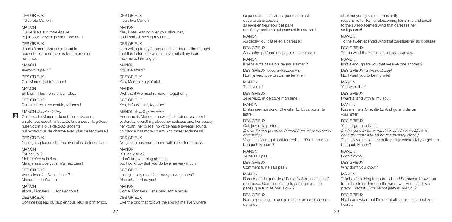DES GRIEUX Indiscrète Manon !

MANON Oui, je lisais sur votre épaule, et j'ai souri, voyant passer mon nom !

#### DES GRIEUX

J'écris à mon père ; et je tremble que cette lettre où j'ai mis tout mon cœur ne l'irrite.

MANON

Avez-vous peur ?

DES GRIEUX Oui, Manon, j'ai très peur !

MANON Eh bien ! Il faut relire ensemble...

DES GRIEUX Oui, c'est cela, ensemble, relisons !

### MANON *(lisant la lettre)*

On l'appelle Manon, elle eut hier seize ans ; en elle tout séduit, la beauté, la jeunesse, la grâce ; nulle voix n'a plus de doux accents, nul regard plus de charme avec plus de tendresse !

DES GRIEUX

Nul regard plus de charme avec plus de tendresse !

#### MANON

10

Est-ce vrai ? Moi, je n'en sais rien... Mais je sais que vous m'aimez bien !

DES GRIEUX Vous aimer ?... Vous aimer ?... Manon | ... Je t'adore !

MANON Allons, Monsieur I Lisons encore !

#### DES GRIEUX Comme l'oiseau qui suit en tous lieux le printemps,

DES GRIEUX Inquisitive Manon!

### MANON

Yes, I was reading over your shoulder, and I smiled, seeing my name!

#### DES GRIEUX

I am writing to my father; and I shudder at the thought that this letter, into which I have put all my heart may make him angry.

MANON

You are afraid?

DES GRIEUX Yes, Manon, very afraid!

MANON Well then! We must re-read it together...

## DES GRIEUX

Yes, let's do that, together!

### MANON *(reading the letter)*

Her name is Manon, she was just sixteen years old yesterday; everything about her seduces one, her beauty, her youth, her grace; no voice has a sweeter sound. no glance has more charm with more tenderness!

DES GRIEUX

No glance has more charm with more tenderness.

### MANON

Is it really true? I don't know a thing about it... but I do know that you do love me very much!

### DES GRIEUX

Love you very much?... Love you very much?... Manon!... I adore you!

#### MANON Come, Monsieur! Let's read some more!

DES GRIEUX Like the bird that follows the springtime everywhere sa jeune âme a la vie, sa jeune âme est ouverte sans cesse ; sa lèvre en fleur sourit et parle au zéphyr parfumé qui passe et la caresse !

## MANON

Au zéphyr qui passe et la caresse ! DES GRIEUX

Au zéphyr parfumé qui passe et la caresse !

MANON Il ne te suffit pas alors de nous aimer ?

DES GRIEUX *(avec enthousiasme)* Non, je veux que tu sois ma femme !

MANON Tu le veux ?

DES GRIEUX Je le veux, et de toute mon âme !

#### MANON

Embrasse-moi donc, Chevalier !... Et va porter ta lettre !

### DES GRIEUX

Oui, je vais la porter ! *(Il s'arrête et regarde un bouquet qui est placé sur la*

*cheminée.)* Voilà des fleurs qui sont fort belles ; d'où te vient ce

bouquet, Manon ?

### MANON

Je ne sais pas...

DES GRIEUX Comment tu ne sais pas ?

#### MANON

Beau motif de querelles ! Par la fenêtre, on l'a lancé d'en bas... Comme il était joli, je l'ai gardé... Je pense que tu n'es pas jaloux ?

### DES GRIEUX

Non, je puis te jurer que je n'ai de ton cœur aucune défiance...

all of her young spirit is constantly responsive to life; her blossoming lips smile and speak to the sweet-scented wind that caresses her as it passes!

#### MANON To the sweet-scented wind that caresses her as it passes!

DES GRIEUX To the wind that caresses her as it passes.

MANON Isn't it enough for you that we love one another?

DES GRIEUX *(enthusiastically)* No, I want you to be my wife!

MANON You want that?

DES GRIEUX I want it, and with all my soul!

MANON

Kiss me then, Chevalier!... And go and deliver your letter!

### DES GRIEUX

Yes, I'll go to deliver it!

*(As he goes towards the door, he stops suddenly to consider some flowers on the chimney-piece.)* Those flowers I see are quite pretty; where did you get this bouquet, Manon?

MANON

I don't know...

DES GRIEUX Why don't you know?

### MANON

This is a fine thing to quarrel about! Someone threw it up from the street, through the window... Because it was pretty, I kept it... You're not jealous, are you?

### DES GRIEUX

No, I can swear that I'm not at all suspicious about your heart...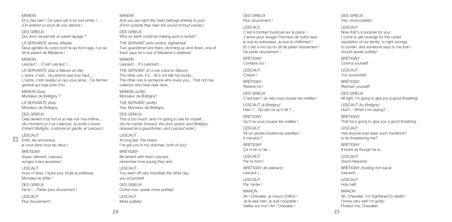#### MANON

Et tu fais bien ! Ce cœur est à toi tout entier ! *(On entend un bruit de voix dehors.)*

#### DES GRIEUX

Qui donc se permet un pareil tapage ?

LA SERVANTE *(entre, effarée)* Deux gardes du corps sont là qui font rage. l'un se dit le parent de Madame !

### MANON

Lescaut !... C'est Lescaut !...

LA SERVANTE *(bas à Manon et vite)* L'autre, c'est... ne parlons pas trop haut... L'autre, c'est quelqu'un qui vous aime... Ce fermier général qui loge près d'ici.

MANON *(bas)*

Monsieur de Brétigny ?

LA SERVANTE *(bas)* Monsieur de Brétigny.

### DES GRIEUX

Cela devient trop fort et je vais voir moi-même... *(Au moment où il va s'élancer, la porte s'ouvre. Entrent Brétigny, costumé en garde, et Lescaut.)*

### LESCAUT

11

Enfin, les amoureux, je vous tiens tous les deux !

#### BRÉTIGNY

Soyez clément, Lescaut, songez à leur jeunesse !

#### LESCAUT

Vous m'avez, l'autre jour, brûlé la politesse, Monsieur le drôle !

DES GRIEUX

Hé là !... Parlez plus doucement !

LESCAUT

Plus doucement !

### MANON

And you are right! My heart belongs entirely to you! *(From outside they hear the sound of loud voices.)*

### DES GRIEUX

Who on earth could be making such a racket?

THE SERVANT *(who enters, frightened)* Two guardsmen are there, storming up and down, one of them says he's one of Madame's relatives!

MANON Lescaut!... It's Lescaut!...

THE SERVANT *(in a low voice to Manon)* The other one, it's... let's not talk too loudly... The other one is someone who loves you... That rich tax collector who lives near here.

MANON *(softly)* Monsieur de Brétigny?

THE SERVANT *(softly)* Yes, Monsieur de Brétigny.

#### DES GRIEUX

This is too much, and I'm going to see for myself... *(As he rushes forward, the door opens, and Brétigny, dressed as a guardsmen, and Lescaut enter.)*

### LESCAUT

At long last, the lovers. I've got you in my clutches, both of you!

BRÉTIGNY Be lenient with them Lescaut, remember how young they are!

#### LESCAUT You went off very impolitely the other day, you scoundrel!

DES GRIEUX Come now, speak more politely! LESCAUT More politely!

#### DES GRIEUX Plus doucement !

#### LESCAUT

C'est à tomber foudroyé sur la place ! J'arrive pour venger l'honneur de notre race, je suis le redresseur, je suis le châtiment ! Et c'est à moi qu'on dit de parler doucement ! De parler doucement !

BRÉTIGNY Contiens-toi !

LESCAUT Coquin !

BRÉTIGNY

Retiens-toi !

DES GRIEUX C'est bien ! Je vais vous couper les oreilles !

LESCAUT *(à Brétigny)* Hein ?... Qu'est-ce qu'il dit ?...

BRÉTIGNY Qu'il va vous couper les oreilles !

LESCAUT Vit-on jamais insolences pareilles ! Il menace ?

BRÉTIGNY

Ça m'en a l'air...

LESCAUT

Par la mort !

BRÉTIGNY *(le retenant)* Lescaut !...

LESCAUT Par l'enfer !

### MANON

Ah ! Chevalier, je meurs d'effroi ! Je le sais bien, je suis coupable ! Veillez sur moi ! Ah ! Chevalier !

DES GRIEUX Yes, more politely!

#### LESCAUT

Now that's a surprise for you! I come to get revenge for the ruined reputation of our family, to right wrongs. to punish, and someone says to me that I should speak politely!

BRÉTIGNY Control yourself!

LESCAUT You scoundrel!

BRÉTIGNY

Restrain yourself!

DES GRIEUX All right, I'm going to give you a good thrashing!

LESCAUT *(to Brétigny)* Huh?... What's he saying?...

BRÉTIGNY That he's going to give you a good thrashing.

LESCAUT Has anyone ever seen such insolence? Is he threatening me?

BRÉTIGNY It looks as though he is...

LESCAUT Good Heavens!

BRÉTIGNY *(holding him back)* Lescaut!...

LESCAUT Holy hell!

MANON Ah, Chevalier, I'm frightened to death! I know very well I'm quilty! Protect me, Chevalier!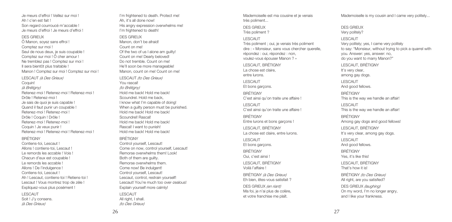Je meurs d'effroi ! Veillez sur moi ! Ah ! c'en est fait ! Son regard courroucé m'accable ! Je meurs d'effroi ! Je meurs d'effroi !

#### DES GRIEUX

Ô Manon, soyez sans effroi ! Comptez sur moi ! Seul de nous deux, je suis coupable ! Comptez sur moi ! Ô cher amour ! Ne tremblez pas ! Comptez sur moi ! Il sera bientôt plus traitable ! Manon ! Comptez sur moi ! Comptez sur moi ! LESCAUT *(à Des Grieux)*

Coquin! *(à Brétigny)* Retenez-moi ! Retenez-moi ! Retenez-moi ! Drôle ! Retenez-moi ! Je sais de quoi je suis capable ! Quand il faut punir un coupable ! Retenez-moi ! Retenez-moi ! Drôle ! Coquin ! Drôle ! Retenez-moi ! Retenez-moi ! Coquin ! Je veux punir ! Retenez-moi ! Retenez-moi ! Retenez-moi !

#### BRÉTIGNY

Contiens-toi, Lescaut ! Allons ! contiens-toi, Lescaut ! Le remords les accable ! Vois ! Chacun d'eux est coupable ! Le remords les accable ! Allons ! De l'indulgence ! Contiens-toi, Lescaut ! Ah ! Lescaut, contiens-toi ! Retiens-toi ! Lescaut ! Vous montrez trop de zèle ! Expliquez-vous plus posément !

LESCAUT Soit ! J'y consens. *(à Des Grieux)*

I'm frightened to death. Protect me! Ah, it's all done now! His angry expression overwhelms me! I'm frightened to death!

DES GRIEUX

Manon, don't be afraid! Count on me! Of the two of us I alone am guilty! Count on me! Dearly beloved! Do not tremble. Count on me! He'll soon be more manageable! Manon, count on me! Count on me! LESCAUT *(to Des Grieux)* You rascal! *(to Brétigny)* Hold me back! Hold me back! Scoundrel. Hold me back, I know what I'm capable of doing! When a quilty person must be punished. Hold me back! Hold me back! Scoundrel! Rascal! Hold me back! Hold me back! Rascal! I want to punish! Hold me back! Hold me back!

#### **BRÉTIGNY**

Control yourself, Lescaut! Come on now, control yourself, Lescaut! Remorse overwhelms them! Look! Both of them are guilty. Remorse overwhelms them. Come now! Be indulgent! Control yourself, Lescaut! Lescaut, control, restrain yourself! Lescaut! You're much too over-zealous! Explain yourself more calmly!

LESCAUT All right, I shall. *(to Des Grieux)* Mademoiselle est ma cousine et je venais très poliment...

DES GRIEUX Très poliment ?

#### LESCAUT

Très poliment ; oui, je venais très poliment dire : « Monsieur, sans vous chercher querelle, répondez : oui, répondez : non, voulez-vous épouser Manon ? »

LESCAUT, BRÉTIGNY La chose est claire, entre lurons. LESCAUT Et bons garçons. BRÉTIGNY C'est ainsi qu'on traite une affaire !

LESCAUT C'est ainsi qu'on traite une affaire !

BRÉTIGNY Entre lurons et bons garçons ! LESCAUT, BRÉTIGNY La chose est claire, entre lurons.

LESCAUT Et bons garçons.

BRÉTIGNY Oui, c'est ainsi !

LESCAUT, BRÉTIGNY Voilà l'affaire !

BRÉTIGNY *(à Des Grieux)* Eh bien, êtes-vous satisfait ?

DES GRIEUX *(en riant)* Ma foi, je n'ai plus de colère, et votre franchise me plaît.

Mademoiselle is my cousin and I came very politely...

DES GRIEUX Very politely?

LESCAUT Very politely; yes, I came very politely to say: "Monsieur, without trying to pick a quarrel with you. Answer: yes, answer: no, do you want to marry Manon?" LESCAUT, BRÉTIGNY It's very clear, among gay dogs. LESCAUT And good fellows. BRÉTIGNY This is the way we handle an affair! LESCAUT This is the way we handle an affair! BRÉTIGNY Among gay dogs and good fellows! LESCAUT, BRÉTIGNY It's very clear, among gay dogs. LESCAUT And good fellows. BRÉTIGNY Yes, it's like this! LESCAUT, BRÉTIGNY That's how it is! BRÉTIGNY *(to Des Grieux)* All right, are you satisfied? DES GRIEUX *(laughing)* On my word, I'm no longer angry, and I like your frankness.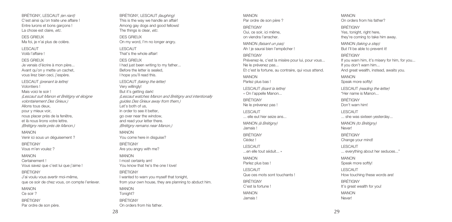BRÉTIGNY, LESCAUT *(en riant)* C'est ainsi qu'on traite une affaire ! Entre lurons et bons garçons ! Ma foi, je n'ai plus de colère. Je venais d'écrire à mon père... Avant qu'on y mette un cachet, vous lirez bien ceci, j'espère. LESCAUT *(prenant la lettre) (Lescaut suit Manon et Brétigny et éloigne volontairement Des Grieux.)* nous placer près de la fenêtre, et là nous lirons votre lettre. *(Brétigny reste près de Manon.)* Venir ici sous un déguisement ? Vous savez que c'est lui que j'aime ! J'ai voulu vous avertir moi-même, que ce soir de chez vous, on compte l'enlever. DES GRIEUX LESCAUT DES GRIEUX Very willingly! MANON BRÉTIGNY MANON BRÉTIGNY MANON Tonight? **BRÉTIGNY** 

La chose est claire, *etc*. DES GRIEUX

LESCAUT Voilà l'affaire ! DES GRIEUX

Volontiers ! Mais voici le soir !

MANON

BRÉTIGNY Vous m'en voulez ? MANON Certainement !

BRÉTIGNY

MANON Ce soir ? **BRÉTIGNY** Par ordre de son père.

Allons tous deux, pour y mieux voir,

BRÉTIGNY, LESCAUT *(laughing)* This is the way we handle an affair! Among gay dogs and good fellows! The things is clear, *etc*. On my word, I'm no longer angry. That's the whole affair! I had just been writing to my father... Before the letter is sealed, I hope you'll read this. LESCAUT *(taking the letter)* But it's getting dark! *(Lescaut watches Manon and Brétigny and intentionally guides Des Grieux away from them.)* Let's both of us, in order to see it better, go over near the window, and read your letter there. *(Brétigny remains near Manon.)* You come here in disguise? Are you angry with me? I most certainly am! You know that he's the one I love! I wanted to warn you myself that tonight, from your own house, they are planning to abduct him. On orders from his father.

MANON Par ordre de son père ? BRÉTIGNY Oui, ce soir, ici même, on viendra l'arracher. MANON *(faisant un pas)* Ah ! je saurai bien l'empêcher ! BRÉTIGNY Prévenez-le, c'est la misère pour lui, pour vous... Ne le prévenez pas... Et c'est la fortune, au contraire, qui vous attend. MANON Parlez plus bas ! LESCAUT *(lisant la lettre)* « On l'appelle Manon... BRÉTIGNY Ne le prévenez pas ! LESCAUT ... elle eut hier seize ans... MANON *(à Brétigny)* Jamais !

BRÉTIGNY Cédez ! LESCAUT

MANON Parlez plus bas ! LESCAUT

BRÉTIGNY C'est la fortune ! MANON Jamais !

...en elle tout séduit... » Que ces mots sont touchants ! MANON On orders from his father?

BRÉTIGNY Yes, tonight, right here, they're coming to take him away.

MANON *(taking a step)* But I'll be able to prevent it!

BRÉTIGNY

If you warn him, it's misery for him, for you... If you don't warn him... And great wealth, instead, awaits you. MANON Speak more softly! LESCAUT *(reading the letter)* "Her name is Manon... BRÉTIGNY Don't warn him! LESCAUT ... she was sixteen yesterday... MANON *(to Brétigny)* Never! BRÉTIGNY Change your mind! LESCAUT ... everything about her seduces..." MANON Speak more softly! LESCAUT How touching these words are! BRÉTIGNY It's great wealth for you! MANON Never!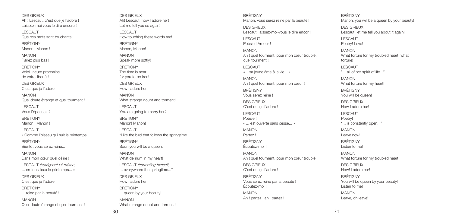DES GRIEUX Ah ! Lescaut, c'est que je l'adore ! Laissez-moi vous le dire encore !

LESCAUT Que ces mots sont touchants !

BRÉTIGNY Manon ! Manon !

MANON Parlez plus bas !

BRÉTIGNY Voici l'heure prochaine

de votre liberté !

DES GRIEUX

C'est que je l'adore !

MANON Quel doute étrange et quel tourment !

LESCAUT Vous l'épousez ?

**BRÉTIGNY** Manon ! Manon !

LESCAUT « Comme l'oiseau qui suit le printemps... BRÉTIGNY

Bientôt vous serez reine...

MANON Dans mon cœur quel délire !

LESCAUT *(corrigeant lui-même)* ... en tous lieux le printemps... »

DES GRIEUX C'est que je l'adore !

BRÉTIGNY

... reine par la beauté !

MANON Quel doute étrange et quel tourment !

DES GRIEUX Ah! Lescaut, how I adore her! Let me tell you so again! LESCAUT How touching these words are! BRÉTIGNY Manon, Manon! MANON Speak more softly! BRÉTIGNY The time is near for you to be free! DES GRIEUX How I adore her! MANON What strange doubt and torment! LESCAUT You are going to marry her? **BRÉTIGNY** Manon! Manon! LESCAUT "Like the bird that follows the springtime... BRÉTIGNY Soon you will be a queen. MANON What delirium in my heart! LESCAUT *(correcting himself)* ... everywhere the springtime..." DES GRIEUX How I adore her! BRÉTIGNY ... queen by your beauty! MANON What strange doubt and torment!

BRÉTIGNY Manon, vous serez reine par la beauté ! DES GRIEUX Lescaut, laissez-moi-vous le dire encor ! LESCAUT Poésie ! Amour ! MANON Ah ! quel tourment, pour mon cœur troublé, quel tourment ! LESCAUT « ...sa jeune âme à la vie... » MANON Ah ! quel tourment, pour mon cœur ! BRÉTIGNY Vous serez reine ! DES GRIEUX C'est que je l'adore ! LESCAUT Poésie ! « ... est ouverte sans cesse... » MANON Partez ! BRÉTIGNY Écoutez-moi ! MANON Ah ! quel tourment, pour mon cœur troublé ! DES GRIEUX C'est que je l'adore ! BRÉTIGNY Vous serez reine par la beauté ! Écoutez-moi ! MANON Ah ! partez ! ah ! partez !

BRÉTIGNY Manon, you will be a queen by your beauty! DES GRIEUX Lescaut, let me tell you about it again! LESCAUT Poetry! Love! MANON What torture for my troubled heart, what torture! LESCAUT "... all of her spirit of life..." MANON What torture for my heart! BRÉTIGNY You will be queen! DES GRIEUX How I adore her! LESCAUT Poetry! "... is constantly open..." MANON Leave now! BRÉTIGNY Listen to me! MANON What torture for my troubled heart! DES GRIEUX How! I adore her! BRÉTIGNY You will be queen by your beauty! Listen to me! MANON Leave, oh leave!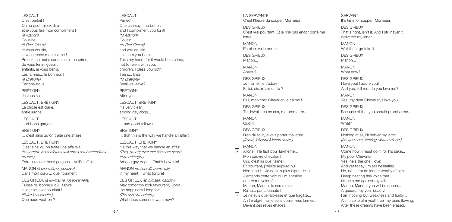LESCAUT C'est parfait ! On ne peut mieux dire et je vous fais mon compliment ! *(à Manon)* Cousine, *(à Des Grieux)* et vous cousin, je vous rends mon estime ! Prenez ma main, car ce serait un crime, de vous tenir rigueur ; enfants, je vous bénis. Les larmes... le bonheur ! *(à Brétigny)* Partons-nous ! **BRÉTIGNY** Je vous suis ! LESCAUT, BRÉTIGNY La chose est claire, entre lurons... LESCAUT ... et bons garçons... BRÉTIGNY ... c'est ainsi qu'on traite une affaire ! LESCAUT, BRÉTIGNY C'est ainsi qu'on traite une affaire ! *(Ils sortent, les répliques suivantes sont entendues au loin.)* Entre lurons et bons garçons... Voilà l'affaire ! MANON *(à elle-même, pensive)* Dans mon cœur... quel tourment ! DES GRIEUX *(à lui-même, joyeusement)* Puisse du bonheur où j'aspire,

le jour se lever souriant ! *(Entre la servante.)* Que nous veut-on ?

LESCAUT Perfect! One can say it no better, and I compliment you for it! *(to Manon)* Cousin, *(to Des Grieux)* and you cousin, I esteem you both! Take my hand, for it would be a crime, not to relent with you; children, I bless you both. Tears... bliss! *(to Brétigny)* Shall we leave? **BRÉTIGNY** After you! LESCAUT, BRÉTIGNY It's very clear, among gay dogs... LESCAUT ... and good fellows... BRÉTIGNY ... that this is the way we handle an affair! LESCAUT, BRÉTIGNY It's this way that we handle an affair! *(They go off; their last lines are heard from offstage.)* Among gay dogs... That's how it is! MANON *(to herself, pensively)* In my heart... what torture! DES GRIEUX *(to himself, happily)* May tomorrow look favourably upon the happiness I long for! *(The servant enters.)* What does someone want now?

LA SERVANTE C'est l'heure du souper, Monsieur. DES GRIEUX C'est vrai pourtant. Et je n'ai pas encor porté ma lettre. MANON Eh bien, va la porter. DES GRIEUX Manon... MANON Après ? DES GRIEUX Je t'aime ! je t'adore ! Et toi, dis, m'aimes-tu ? MANON Oui, mon cher Chevalier, je t'aime ! DES GRIEUX Tu devrais, en ce cas, me promettre... MANON Quoi ? DES GRIEUX Rien du tout, je vais porter ma lettre. *(Il sort, laissant Manon seule.)* MANON Allons ! Il le faut pour lui-même... Mon pauvre chevalier ! Oui, c'est lui que j'aime ! Et pourtant, j'hésite aujourd'hui. Non, non !... Je ne suis plus digne de lui ! J'entends cette voix qui m'entraîne contre ma volonté : Manon, Manon, tu seras reine... Reine... par la beauté ! Je ne suis que faiblesse et que fragilité... Ah ! malgré moi je sens couler mes larmes...

Devant ces rêves effacés

13

 $\sqrt{12}$ 

SERVANT It's time for supper, Monsieur. DES GRIEUX That's right, isn't it. And I still haven't delivered my letter. MANON Well then, go take it. DES GRIEUX Manon... MANON What now? DES GRIEUX I love you! I adore you! And you, tell me, do you love me? MANON Yes, my dear Chevalier, I love you! DES GRIEUX Because of that you should promise me... MANON What? DES GRIEUX Nothing at all, I'll deliver my letter. *(He goes out, leaving Manon alone.)* MANON Come now, I must do it, for his sake... My poor Chevalier! Yes, he's the one I love! And yet today I'm still hesitating. No, no!... I'm no longer worthy of him!

33

I keep hearing this voice that attracts me against my will: Manon, Manon, you will be queen... A queen... by your beauty! I am nothing but weakness and frailty... Ah! in spite of myself I feel my tears flowing. After these dreams have been erased,

32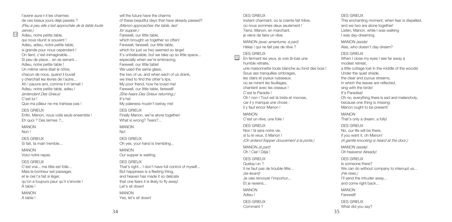l'avenir aura-t-il les charmes de ces beaux jours déjà passés ? *(Peu à peu elle s'est approchée de la table toute* Adieu, notre petite table, qui nous réunit si souvent ! Adieu, adieu, notre petite table, si grande pour nous cependant ! On tient, c'est inimaginable... Si peu de place... en se serrant... Adieu, notre petite table ! Un même verre était le nôtre, chacun de nous, quand il buvait y cherchait les lèvres de l'autre... Ah ! pauvre ami, comme il m'aimait ! Adieu, notre petite table, adieu ! *(entendant Des Grieux)* Que ma pâleur ne me trahisse pas ! Enfin, Manon, nous voilà seuls ensemble ! Eh quoi ? Des larmes ?... Si fait, ta main tremble... C'est vrai... ma tête est folle... Mais le bonheur est passager, et le ciel l'a fait si léger. qu'on a toujours peur qu'il s'envole ! No!

À table ! MANON

*servie.)*

14

C'est lui !

MANON Non ! DES GRIEUX

MANON Voici notre repas. DES GRIEUX

DES GRIEUX

À table !

will the future have the charms of these beautiful days that have already passed? *(Manon approaches the table, laid for supper.)* Farewell, our little table, which brought us together so often! Farewell, farewell, our little table, which for just us two seemed so large! It's unbelievable, but we take up so little space... especially when we're embracing. Farewell, our little table! We used the same glass the two of us, and when each of us drank, we tried to find the other's lips. My poor friend, how he loved me! Farewell, our little table, farewell! *(She hears Des Grieux returning.)* It's he! My paleness mustn't betray me! DES GRIEUX Finally Manon, we're alone together! What is wrong? Tears?... MANON DES GRIEUX Oh yes, your hand is trembling... MANON Our supper is waiting. DES GRIEUX That's right... I don't have full control of myself... But happiness is a fleeting thing, and heaven has made it so delicate that one fears it is likely to fly away! Let's sit down! MANON Yes, let's sit down!

#### DES GRIEUX

Instant charmant, où la crainte fait trêve, où nous sommes deux seulement ! Tiens, Manon, en marchant, je viens de faire un rêve.

MANON *(avec amertume, à part)* Hélas ! qui ne fait pas de rêve ?

#### DES GRIEUX 15

En fermant les yeux, je vois là-bas une humble retraite, une maisonnette toute blanche au fond des bois ! Sous ses tranquilles ombrages, les clairs et joyeux ruisseaux, où se mirent les feuillages, chantent avec les oiseaux ! C'est le Paradis ! Oh ! non ! Tout est là triste et morose, car il y manque une chose : il y faut encor Manon ! MANON

C'est un rêve, une folie !

DES GRIEUX Non ! là sera notre vie, si tu le veux, ô Manon ! *(On entend frapper doucement à la porte.)*

MANON *(à part)* Oh ! Ciel ! Déjà !

DES GRIEUX Quelqu'un ? Il ne faut pas de trouble-fête... *(se levant)* Je vais renvoyer l'importun... Et je reviens... MANON Adieu ! DES GRIEUX Comment ?

DES GRIEUX

This enchanting moment, when fear is dispelled, and we two are alone together! Listen, Manon, while I was walking I was day-dreaming.

MANON *(aside)* Alas, who doesn't day-dream?

DES GRIEUX

When I close my eyes I see far away a modest retreat, a little cottage lost in the middle of the woods! Under the quiet shade, the clear and joyous streams, in which the leaves are reflected, sing with the birds! It's Paradise! Oh no, everything there is sad and melancholy, because one thing is missing: Manon ought to be present! MANON That's only a dream, a folly! DES GRIEUX No, our life will be there, if you want it, oh Manon! *(A gentle knocking is heard at the door.)* MANON *(aside)* Oh heavens! Already! DES GRIEUX Is someone there? We can do without company to interrupt us... *(He rises.)* I'll send the intruder away... and come right back... MANON Farewell! DES GRIEUX What did you say?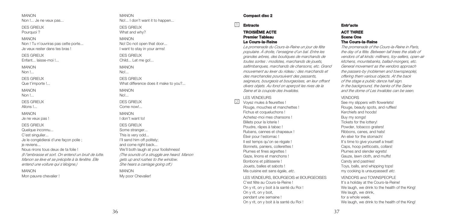MANON Non !... Je ne veux pas.

DES GRIEUX Pourquoi ?

### MANON

Non ! Tu n'ouvriras pas cette porte... Je veux rester dans tes bras !

DES GRIEUX

Enfant... laisse-moi !...

MANON

Non !

DES GRIEUX

Que t'importe !...

MANON Non **I** 

DES GRIEUX Allons !...

MANON

Je ne veux pas !

DES GRIEUX

Quelque inconnu...

C'est singulier...

Je le congédierai d'une façon polie ; je reviens...

Nous rirons tous deux de ta folie ! *(Il l'embrasse et sort. On entend un bruit de lutte. Manon se lève et se précipite à la fenêtre. Elle entend une voiture qui s'éloigne.)*

MANON Mon pauvre chevalier !

MANON No!... I don't want it to happen...

DES GRIEUX What and why?

MANON No! Do not open that door... I want to stay in your arms!

DES GRIEUX Child... Let me go!...

MANON No!

DES GRIEUX What difference does it make to you?

MANON No!...

DES GRIEUX Come now!...

MANON I don't want to! DES GRIEUX Some stranger... This is very odd... I'll send him off politely; and come right back... We'll both laugh at your foolishness! *(The sounds of a struggle are heard. Manon gets up and rushes to the window. She hears a carriage going off.)* MANON

My poor Chevalier!

### **Compact disc 2**

#### **Entracte** 1 **Entr'acte**

### **TROISIÈME ACTE Premier Tableau Le Cours-la-Reine**

*La promenade du Cours-la-Reine un jour de fête populaire. À droite, l'enseigne d'un bal. Entre les grandes arbres, des boutiques de marchands de toutes sortes : modistes, marchands de jouets, saltimbanques, marchands de chansons, etc. Grand mouvement au lever du rideau : des marchands et des marchandes poursuivent des passants, seigneurs, bourgeois et bourgeoises, en leur offrant divers objets. Au fond on aperçoit les rives de la Seine et la coupole des Invalides.*

### LES VENDEURS

 $\sqrt{2}$ 

Voyez mules à fleurettes ! Rouge, mouches et manchettes ! Fichus et coqueluchons ! Achetez-moi mes chansons ! Billets pour la loterie ! Poudre, râpes à tabac ! Rubans, cannes et chapeaux ! Élixir pour l'estomac ! Il est temps qu'on se régale ! Bonnets, paniers, collerettes ! Plumes et fines aigrettes ! Gaze, linons et manchons ! Bonbons et pâtisserie ! Jouets, balles et sabots ! Ma cuisine est sans égale, *etc*.

### LES VENDEURS, BOURGEOIS et BOURGEOISES

C'est fête au Cours-la-Reine ! On y rit, on y boit à la santé du Roi ! On y rit, on y boit, pendant une semaine ! On y rit, on y boit à la santé du Roi !

## **ACT THREE Scene One The Cours-la-Reine**

*The promenade of the Cours-la-Reine in Paris, the day of a fête. Between tall trees the stalls of vendors of all kinds: milliners, toy-sellers, open-air kitchens, mountebanks, ballad-mongers, etc. General movement as the vendors approach the passers-by (noblemen and townspeople), offering them various objects. At the back of the stage a public dance hall sign. In the background, the banks of the Seine and the dome of Les Invalides can be seen.*

### VENDORS

See my slippers with flowerlets! Rouge, beauty spots, and ruffles! Kerchiefs and hoods! Buy my songs! Tickets for the lottery! Powder, tobacco graters! Ribbons, canes, and hats! An elixir for the stomach! It's time to give yourself a treat! Caps, hoop petticoats, collars! Plumes and slender egrets! Gauze, lawn cloth, and muffs! Candy and pastries! Toys, balls, and whipping tops! my cooking is unsurpassed! *etc*. VENDORS and TOWNSPEOPLE It's a holiday at the Cours-la-Reine! We laugh, we drink to the health of the King! We laugh, we drink. for a whole week. We laugh, we drink to the health of the King!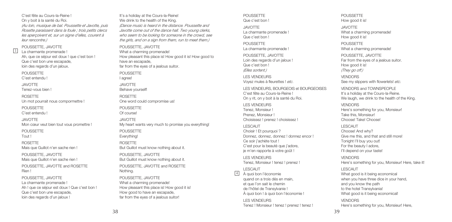C'est fête au Cours-la-Reine ! On y boit à la santé du Roi.

*(Au loin, musique de bal. Poussette et Javotte, puis Rosette paraissent dans la foule ; trois petits clercs les aperçoivent et, sur un signe d'elles, courent à leur rencontre.)*

POUSSETTE, JAVOTTE La charmante promenade ! Ah, que ce séjour est doux ! que c'est bon ! Que c'est bon une escapade, loin des regards d'un jaloux.

POUSSETTE C'est entendu !

3

JAVOTTE Tenez-vous bien !

ROSETTE Un mot pourrait nous compormettre !

POUSSETTE C'est entendu !

JAVOTTE Mon cœur veut bien tout vous promettre !

POUSSETTE Tout !

ROSETTE

Mais que Guillot n'en sache rien !

POUSSETTE, JAVOTTE Mais que Guillot n'en sache rien !

POUSSETTE, JAVOTTE and ROSETTE Rien !

POUSSETTE, JAVOTTE La charmante promenade ! Ah ! que ce séjour est doux ! Que c'est bon ! Que c'est bon une escapade, loin des regards d'un jaloux !

It's a holiday at the Cours-la-Reine! We drink to the health of the King. *(Dance music is heard in the distance. Poussette and Javotte come out of the dance hall. Two young clerks, who seem to be looking for someone in the crowd, see the girls, and on a sign from them, run to meet them.)* POUSSETTE, JAVOTTE What a charming promenade! How pleasant this place is! How good it is! How good to have an escapade, far from the eyes of a jealous suitor. POUSSETTE I agree! JAVOTTE Behave yourself! ROSETTE One word could compromise us! POUSSETTE Of course! JAVOTTE My heart wants very much to promise you everything! POUSSETTE Everything! ROSETTE But Guillot must know nothing about it. POUSSETTE, JAVOTTE But Guillot must know nothing about it. POUSSETTE, JAVOTTE and ROSETTE Nothing. POUSSETTE, JAVOTTE What a charming promenade! How pleasant this place is! How good it is!

#### POUSSETTE Que c'est bon !

JAVOTTE La charmante promenade ! Que c'est bon !

POUSSETTE La charmante promenade !

POUSSETTE, JAVOTTE Loin des regards d'un jaloux ! Que c'est bon ! *(Elles sortent.)*

LES VENDEURS Voyez mules à fleurettes ! *etc*.

LES VENDEURS, BOURGEOIS et BOURGEOISES C'est fête au Cours-la-Reine ! On y rit, on y boit à la santé du Roi.

LES VENDEURS Tenez, Monsieur ! Prenez, Monsieur ! Choisissez ! prenez ! choisissez !

LESCAUT

Choisir ! Et pourquoi ? Donnez, donnez, donnez ! donnez encor ! Ce soir j'achète tout ! C'est pour la beauté que j'adore, je m'en rapporte à votre goût !

LES VENDEURS Tenez, Monsieur ! tenez ! prenez !

LESCAUT <sup>4</sup>

À quoi bon l'économie quand on a trois dés en main, et que l'on sait le chemin de l'hôtel de Transylvanie ! À quoi bon ! à quoi bon l'économie !

LES VENDEURS Tenez ! Monsieur ! tenez ! prenez ! tenez !

#### POUSSETTE How good it is!

JAVOTTE What a charming promenadel How good it is!

POUSSETTE What a charming promenadel

POUSSETTE, JAVOTTE Far from the eyes of a jealous suitor. How good it is! *(They go off.)* VENDORS See my slippers with flowerlets! *etc*.

VENDORS and TOWNSPEOPLE It's a holiday at the Cours-la-Reine. We laugh, we drink to the health of the King.

**VENDORS** Here's something for you, Monsieur! Take this, Monsieur! Choose! Take! Choose!

LESCAUT Choose! And why? Give me this, and that and still more! Tonight I'll buy you out! For the beauty I adore, I'll depend on your taste! VENDORS Here's something for you, Monsieur! Here, take it! LESCAUT What good is it being economical

when you have three dice in your hand. and you know the path to the hotel Transylvania! What good is it being economical!

**VENDORS** Here's something for you, Monsieur! Here,

How good to have an escapade, far from the eyes of a jealous suitor!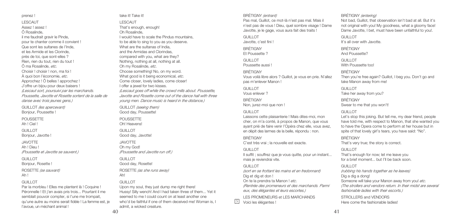À quoi bon l'économie, *etc*. Approchez ! Ô belles ! approchez ! J'offre un bijou pour deux baisers ! *(Lescaut sort, poursuivi par les marchands. Poussette, Javotte et Rosette sortent de la salle de danse avec trois jeunes gens.)* GUILLOT *(les apercevant)* Bonjour, Poussette ! POUSSETTE Ah ! Ciel ! GUILLOT Bonjour, Javotte ! JAVOTTE Ah ! Dieu ! *(Poussette et Javotte se sauvent.)* GUILLOT Bonjour, Rosette ! ROSETTE *(se sauvant)* Ah ! GUILLOT Par la morbleu ! Elles me plantent là ! Coquine ! Péronnelle ! Et j'en avais pris trois... Pourtant il me

prenez ! LESCAUT Assez ! assez ! Ô Rosalinde, il me faudrait gravir le Pinde, pour te chanter comme il convient ! Que sont les sultanes de l'Inde, et les Armide et les Clorinde, près de toi, que sont-elles ? Rien, rien du tout, rien du tout ! Ô ma Rosalinde, *etc*. Choisir I choisir I non, ma foi I

semblait pouvoir compter, si l'une me trompait, qu'une autre au moins serait fidèle ! La femme est, je l'avoue, un méchant animal !

Ah!

*(Lescaut goes off while the crowd mills about. Poussette, Javotte and Rosette come out of the dance hall with three young men. Dance music is heard in the distance.)* GUILLOT *(seeing them)* Good day, Poussette! POUSSETTE Oh! Heavens! GUILLOT. JAVOTTE Oh my God! GUILLOT

take it! Take it! LESCAUT That's enough, enough! Oh Rosalinde,

I would have to scale the Pindus mountains, to be able to sing to you as you deserve. What are the sultanas of India, and the Armidas and Clorindas, compared with you, what are they? Nothing, nothing at all, nothing at all. Oh my Rosalinde, *etc*. Choose something! No, on my word. What good is it being economical, *etc*. Come closer, lovely ladies, come closer! I offer a jewel for two kisses.

Good day, Javotte! *(Poussette and Javotte run off.)* Good day, Rosette! ROSETTE *(as she runs away)*

### GUILLOT

Upon my soul, they just dump me right there! Hussy! Silly wench! And I had taken three of them... Yet it seemed to me I could count on at least another one who'd be faithful if one of them deceived me! Woman is, I admit, a wicked creature.

#### BRÉTIGNY *(entrant)*

Pas mal, Guillot, ce mot-là n'est pas mal. Mais il n'est pas de vous ! Dieu, quel sombre visage ! Dame Javotte, je le gage, vous aura fait des traits !

GUILLOT Javotte, c'est fini ! BRÉTIGNY Et Poussette ? GUILLOT.

Poussette aussi !

### BRÉTIGNY

Vous voilà libre alors ? Guillot, je vous en prie. N'allez pas m'enlever Manon !

GUILLOT. Vous enlever ?

BRÉTIGNY Non, jurez-moi que non !

### GUILLOT.

Laissons cette plaisanterie ! Mais dites-moi, mon cher, on m'a conté, à propos de Manon, que vous ayant prié de faire venir l'Opéra chez elle, vous avez, en dépit des larmes de la belle, répondu : non.

BRÉTIGNY

C'est très vrai ; la nouvelle est exacte.

### GUILLOT

Il suffit ; souffrez que je vous quitte, pour un instant... mais je reviendrai vite.

### GUILLOT.

*(sort en se frottant les mains et en fredonnant)* Dig et dig et don ! On te la prendra ta Manon ! *etc*. *(Rentrée des promeneurs et des marchands. Parmi eux, des élégantes et leurs escortes.)*

LES PROMENEURS et LES MARCHANDS 5 Voici les élégantes !

### BRÉTIGNY *(entering)*

Not bad, Guillot, that observation isn't bad at all. But it's not original with you! My goodness, what a gloomy face! Dame Javotte, I bet, must have been unfaithful to you!.

GUILLOT

It's all over with Javotte.

BRÉTIGNY

And Poussette?

GUILLOT. With Poussette too!

BRÉTIGNY

Then you're free again? Guillot, I beg you. Don't go and take Manon away from me!

GUILLOT Take her away from you?

BRÉTIGNY Swear to me that you won't!

#### GUILLOT.

Let's stop this joking. But tell me, my dear friend, people have told me, with respect to Manon, that she wanted you to have the Opera come to perform at her house but in spite of that lovely girl's tears, you have said: "No".

BRÉTIGNY

That's very true; the story is correct.

### GUILLOT

That's enough for now; let me leave you for a brief moment... but I'll be back soon.

GUILLOT

*(rubbing his hands together as he leaves)* Dig a dig a dong! Someone will take your Manon away from you! *etc*. *(The strollers and vendors return. In their midst are several fashionable ladies with their escorts.)*

STROLLERS and VENDORS Here come the fashionable ladies!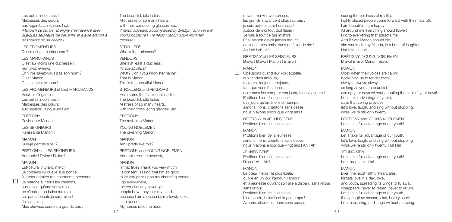Les belles indolentes ! Maîtresses des cœurs

aux regards vainqueurs ! *etc*. *(Pendant ce temps, Brétigny s'est avancé avec quelques seigneurs de ses amis et a aidé Manon à descendre de sa chaise.)*

LES PROMENEURS Quelle est cette princesse ?

#### LES MARCHANDS

C'est au moins une duchesse ! *(aux promeneurs)* Eh ? Ne savez-vous pas son nom ? C'est Manon I C'est la belle Manon !

LES PROMENEURS et LES MARCHANDS Voici les élégantes ! Les belles indolentes ! Maîtresses des cœurs aux regards vainqueurs ! *etc*.

**BRÉTIGNY** 

Ravissante Manon !

LES SEIGNEURS

Ravissante Manon !

MANON Suis-je gentille ainsi ?

BRÉTIGNY et LES SEIGNEURS Adorable ! Divine ! Divine !

#### MANON

6

Est-ce vrai ? Grand merci ! Je consens vu que je suis bonne, à laisser admirer ma charmante personne ! Je marche sur tous les chemins, aussi bien qu'une souveraine ; on s'incline, on baise ma main, car par la beauté je suis reine ! Je suis reine ! Mes chevaux courent à grands pas ;

The beautiful, idle ladies! Mistresses of so many hearts with their conquering glances! *etc*. *(Manon appears, accompanied by Brétigny and several young noblemen. He helps Manon down from her carriage.)* STROLLERS

Who is that princess?

#### **VENDORS**

She's at least a duchess! *(to the strollers)* What? Don't you know her name? That is Manon! This is the beautiful Manon!

STROLLERS and VENDORS Here come the fashionable ladies! The beautiful, idle ladies! Mistress of so many hearts, with their conquering glances! *etc.* 

**BRÉTIGNY** The ravishing Manon! YOUNG NOBLEMEN.

The ravishing Manon! MANON

Am I pretty like this?

BRÉTIGNY and YOUNG NOBLEMEN Adorable! You're heavenly!

### MANON

Is that true? Thank you very much! I'll consent, seeing that I'm so good, to let you gaze upon my charming person! I go everywhere, the equal of any sovereign; people bow, they kiss my hand, because I am a queen by my lovely looks! I am queen! My horses race me about;

devant ma vie aventureuse, les grands s'avancent chapeau bas ; je suis belle, je suis heureuse ! Autour de moi tout doit fleurir ! Je vais à tout ce qui m'attire ! Et si Manon devait jamais mourir, ce serait, mes amis, dans un éclat de rire ! Ah ! ah ! ah ! ah !

BRÉTIGNY et LES SEIGNEURS Bravo ! Bravo ! Manon ! Bravo !

### MANON

/

Obéissons quand leur voix appelle, aux tendres amours, toujours, toujours, toujours, tant que vous êtes belle, usez sans les compter vos jours, tous vos jours ! Profitons bien de la jeunesse, des jours qu'amène le printemps ; aimons, rions, chantons sans cesse, nous n'avons encor que vingt ans !

BRÉTIGNY et JEUNES GENS Profitons bien de la jeunesse !

### MANON

Profitons bien de la jeunesse, aimons, rions, chantons sans cesse, nous n'avons encor que vingt ans ! Ah ! Ah !

JEUNES GENS Profitons bien de la jeunesse ! Rions ! Ah ! Ah !

### MANON

Le cœur, hélas ! le plus fidèle, oublie en un jour l'amour, l'amour, et la jeunesse ouvrant son aile a disparu sans retour, sans retour. Profitons bien de la jeunesse,

bien courte, helas ! est le printemps ! Aimons, chantons, rions sans cesse,

seeing the boldness of my life. highly placed people come forward with their hats off: I am beautiful, I am happy! All around me everything should flower! I go to everything that attracts me! And if ever Manon should die, she would die my friends, in a burst of laughter. Ha! Ha! Ha! Ha!

BRÉTIGNY, YOUNG NOBLEMEN Bravo! Bravo! Manon! Bravo!

### MANON

Obey when their voices are calling, beckoning us to tender loves, always, always, always; as long as you are beautiful, use up your days without counting them, all of your days! Let's take advantage of youth, days that spring provides: let's love, laugh, and sing without stopping, while we're still only twenty!

BRÉTIGNY and YOUNG NOBLEMEN Let's take full advantage of our youth!

### MANON

Let's take full advantage of our youth, let's love, laugh, and sing without stopping while we're still only twenty! Ha! Ha!

YOUNG MEN

Let's take full advantage of our youth! Let's laugh! Ha! Ha!

### MANON

Even the most faithful heart, alas, forgets love in a day, love, and youth, spreading its wings to fly away, disappears, never to return, never to return. Let's take full advantage of our youth, the springtime season, alas, is very short!

Let's love, sing, and laugh without stopping,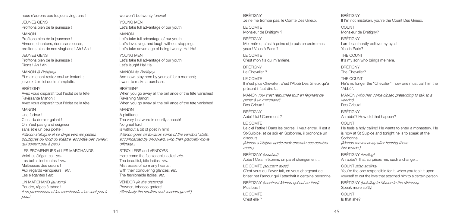nous n'aurons pas toujours vingt ans !

JEUNES GENS

Profitons bien de la jeunesse !

### MANON

Profitons bien de la jeunesse ! Aimons, chantons, rions sans cesse, profitons bien de nos vingt ans ! Ah ! Ah !

#### JEUNES GENS

Profitons bien de la jeunesse ! Rions ! Ah ! Ah !

MANON *(à Brétigny)* Et maintenant restez seul un instant ; je veux faire ici quelqu'emplette.

#### **BRÉTIGNY**

Avec vous disparaît tout l'éclat de la fête ! Ravissante Manon ! Avec vous disparaît tout l'éclat de la fête !

#### MANON

Une fadeur !

C'est du dernier galant ! On n'est pas grand seigneur sans être un peu poète !

*(Manon s'éloigne et se dirige vers les petites boutiques du fond du théâtre, escortée des curieux qui sortent peu à peu.)*

LES PROMENEURS et LES MARCHANDS Voici les élégantes ! *etc*. Les belles indolentes ! *etc*. Maîtresses des cœurs ! Aux regards vainqueurs ! *etc*. Les élégantes ! *etc*.

UN MARCHAND *(au fond)* Poudre, râpes à tabac ! *(Les promeneurs et les marchands s'en vont peu à peu.)*

we won't be twenty forever!

YOUNG MEN Let's take full advantage of our youth!

### MANON

Let's take full advantage of our youth! Let's love, sing, and laugh without stopping. Let's take advantage of being twenty! Ha! Ha!

YOUNG MEN Let's take full advantage of our youth! Let's laugh! Ha! Ha!

MANON *(to Brétigny)* And now, stay here by yourself for a moment; I want to make a purchase.

**BRÉTIGNY** When you go away all the brilliance of the fête vanishes! Ravishing Manon! When you go away all the brilliance of the fête vanishes!

### MANON

A platitude! The very last word in courtly speech! No great lord is without a bit of poet in him! *(Manon goes off towards some of the vendors' stalls, accompanied by onlookers, who then gradually move offstage.)*

STROLLERS and VENDORS Here come the fashionable ladies! *etc*. The beautiful, idle ladies! *etc*. Mistresses of so many hearts!, with their conquering glances! *etc*. The fashionable ladies! *etc*.

VENDOR *(in the distance)* Powder, tobacco graters! *(Gradually the strollers and vendors go off.)*  BRÉTIGNY Je ne me trompe pas, le Comte Des Grieux.

LE COMTE Monsieur de Brétigny ?

#### BRÉTIGNY

Moi-même, c'est à peine si je puis en croire mes yeux ! Vous à Paris ?

LE COMTE C'est mon fils qui m'amène.

BRÉTIGNY

Le Chevalier ?

### LE COMTE

Il n'est plus Chevalier, c'est l'Abbé Des Grieux qu'à présent il faut dire !...

MANON *(qui s'est retournée tout en feignant de parler à un marchand)* Des Grieux !

BRÉTIGNY

Abbé ! lui ! Comment ?

### LE COMTE

Le ciel l'attire ! Dans les ordres, il veut entrer. Il est à St-Sulpice, et ce soir en Sorbonne, il prononce un discours...

*(Manon s'éloigne après avoir entendu ces derniers mots.)*

BRÉTIGNY *(souriant)* Abbé ! Cela m'étonne, un pareil changement...

#### LE COMTE *(souriant aussi)*

C'est vous qui l'avez fait, en vous chargeant de briser net l'amour qui l'attachait à certaine personne. BRÉTIGNY *(montrant Manon qui est au fond)*

Plus bas ! LE COMTE

C'est elle ?

BRÉTIGNY If I'm not mistaken, you're the Count Des Grieux. COUNT Monsieur de Brétigny? BRÉTIGNY I am I can hardly believe my eyes! You in Paris? THE COUNT It's my son who brings me here. BRÉTIGNY The Chevalier? THE COUNT He's no longer the "Chevalier", now one must call him the "Abbé". MANON *(who has come closer, pretending to talk to a vendor)* Des Grieux! BRÉTIGNY An abbé? How did that happen? COUNT. He feels a holy calling! He wants to enter a monastery. He is now at St Sulpice and tonight he is to speak at the Sorbonne... *(Manon moves away after hearing these last words.)* BRÉTIGNY *(smiling)* An abbé? That surprises me, such a change... COUNT *(also smiling)* You're the one responsible for it, when you took it upon yourself to cut the love that attached him to a certain person. BRÉTIGNY *(pointing to Manon in the distance)* Speak more softly! COUNT Is that she?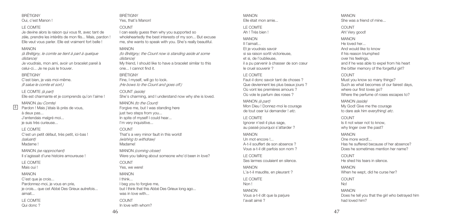#### BRÉTIGNY Oui, c'est Manon !

#### LE COMTE

Je devine alors la raison qui vous fit, avec tant de zèle, prendre les intérêts de mon fils... Mais, pardon ! Elle veut vous parler. Elle est vraiment fort belle !

### MANON

*(à Brétigny, le comte se tient à part à quelque distance)* Je voudrais, mon ami, avoir un bracelet pareil à celui-ci... Je ne puis le trouver.

#### **BRÉTIGNY**

C'est bien, je vais moi-même. *(Il salue le comte et sort.)*

LE COMTE *(à part)* Elle est charmante et je comprends qu'on l'aime !

MANON *(au Comte)* Pardon ! Mais j'étais là près de vous, à deux pas...

J'entendais malgré moi... je suis très curieuse...

#### LE COMTE

C'est un petit défaut, très petit, ici-bas ! *(saluant)* Madame !

MANON *(se rapprochant)* Il s'agissait d'une histoire amoureuse !

LE COMTE Mais oui !

#### MANON

C'est que je crois... Pardonnez-moi, je vous en prie, je crois... que cet Abbé Des Grieux autrefois... aimait...

LE COMTE Qui donc ? BRÉTIGNY Yes, that's Manon!

### COUNT

I can easily guess then why you supported so wholeheartedly the best interests of my son... But excuse me, she wants to speak with you. She's really beautiful.

### MANON

*(to Brétigny; the Count now is standing aside at some distance)* My friend, I should like to have a bracelet similar to this one... I cannot find it.

#### **BRÉTIGNY**

Fine, I myself, will go to look. *(He bows to the Count and goes off.)*

COUNT *(aside)* She's charming, and I understand now why she is loved.

MANON *(to the Count)* Forgive me, but I was standing here just two steps from you... In spite of myself I could hear... I'm very inquisitive...

#### COUNT

That's a very minor fault in this world! *(wishing to withdraw)* Madame!

MANON *(coming closer)* Were you talking about someone who'd been in love?

**COUNT** Yes, we were!

MANON I think... I beg you to forgive me, but I think that this Abbé Des Grieux long ago... was in love with...

COUNT In love with whom?

#### MANON Elle était mon amie...

LE COMTE Ah ! Très bien !

#### MANON

Il l'aimait... Et je voudrais savoir si sa raison sortit victorieuse, et si, de l'oublieuse, il a pu parvenir à chasser de son cœur le cruel souvenir ?

### LE COMTE

Faut-il donc savoir tant de choses ? Que deviennent les plus beaux jours ? Où vont les premières amours ? Où vole le parfum des roses ?

MANON *(à part)* Mon Dieu ! Donnez-moi le courage de tout oser lui demander ! *etc*.

LE COMTE Ignorer n'est-il plus sage, au passé pourquoi s'attarder ?

#### MANON Un mot encore !... A-t-il souffert de son absence ? Vous a-t-il dit parfois son nom ?

LE COMTE Ses larmes coulaient en silence.

MANON L'a-t-il maudite, en pleurant ?

LE COMTE Non !

MANON Vous a-t-il dit que la parjure l'avait aimé ?

MANON She was a friend of mine...

COUNT Ah! Very good!

MANON

He loved her... And would like to know if his reason triumphed over his feelings, and if he was able to expel from his heart the bitter memory of the forgetful girl?

#### COUNT

Must you know so many things? Such as what becomes of our fairest days, where our first loves go? Where the perfume of roses escapes to?

MANON *(aside)* My God! Give me the courage to dare ask him everything! *etc*.

COUNT Is it not wiser not to know, why linger over the past?

MANON One more word!... Has he suffered because of her absence? Does he sometimes mention her name?

COUNT. He shed his tears in silence.

MANON When he wept, did he curse her? COUNT No! MANON Does he tell you that the girl who betrayed him had loved him?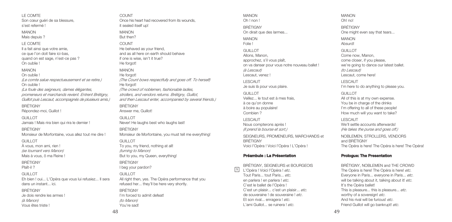LE COMTE

Son cœur guéri de sa blessure, s'est refermé !

MANON

Mais depuis ?

### LE COMTE

Il a fait ainsi que votre amie, ce que l'on doit faire ici-bas, quand on est sage, n'est-ce pas ? On oublie !

#### MANON

On oublie ! *(Le comte salue respectueusement et se retire.)* On oublie ! *(La foule des seigneurs, dames élégantes, promeneurs et marchands revient. Entrent Brétigny, Guillot puis Lescaut, accompagnés de plusieurs amis.)*

BRÉTIGNY Répondez-moi, Guillot !

GUILLOT Jamais ! Mais rira bien qui rira le dernier !

BRÉTIGNY Monsieur de Morfontaine, vous allez tout me dire !

#### GUILLOT

À vous, mon ami, rien ! *(se tournant vers Manon)* Mais à vous, ô ma Reine !

BRÉTIGNY Plaît-il ?

#### GUILLOT

Eh bien ! oui... L'Opéra que vous lui refusiez... Il sera dans un instant... ici.

#### BRÉTIGNY

Je dois rendre les armes ! *(à Manon)* Vous êtes triste !

COUNT Once his heart had recovered from its wounds, it sealed itself up! MANON

But then?

COUNT He behaved as your friend, and as all here on earth should behave if one is wise, isn't it true? He forgot!

### MANON

He forgot! *(The Count bows respectfully and goes off. To herself)* He forgot! *(The crowd of noblemen, fashionable ladies, strollers, and vendors returns. Brétigny, Guillot, and then Lescaut enter, accompanied by several friends.)*

**BRÉTIGNY** Answer me, Guillot!

GUILLOT. Never! He laughs best who laughs last! BRÉTIGNY Monsieur de Morfontaine, you must tell me everything! GUILLOT To you, my friend, nothing at all! *(turning to Manon)* But to you, my Queen, everything! BRÉTIGNY I beg your pardon? GUILLOT. All right then, yes. The Opéra performance that you refused her... they'll be here very shortly.

BRÉTIGNY I'm forced to admit defeat! *(to Manon)* You're sad!

MANON Oh ! non ! BRÉTIGNY On dirait que des larmes... MANON Folie ! GUILLOT Allons, Manon, approchez, s'il vous plaît, on va danser pour vous notre nouveau ballet ! *(à Lescaut)* Lescaut, venez ! LESCAUT Je suis là pour vous plaire. GUILLOT. Veillez... le tout est à mes frais, à ce qu'on donne à boire au populaire! Combien ?

LESCAUT Nous compterons après ! *(Il prend la bourse et sort.)*

SEIGNEURS, PROMENEURS, MARCHANDS et BRÉTIGNY Voici l'Opéra ! Voici l'Opéra ! L'Opéra !

### **Préambule : La Présentation**

BRÉTIGNY, SEIGNEURS et BOURGEOIS L'Opéra ! Voici l'Opéra ! *etc*. Tout Paris... tout Paris... *etc*. en parlera ! en parlera ! *etc*. C'est le ballet de l'Opéra ! C'est un plaisir... c'est un plaisir... *etc*. de souveraine ! de souveraine ! *etc*. Et son rival... enragera ! *etc*. L'ami Guillot... se ruinera ! *etc*. 9

Oh! no! BRÉTIGNY One might even say that tears... MANON Absurd! GUILLOT. Come now, Manon, come closer, if you please, we're going to dance our latest ballet. *(to Lescaut)* Lescaut, come here! LESCAUT I'm here to do anything to please you. GUILLOT

MANON

All of this is at my own expense. You be in charge of the drinks I'm offering to all of these people! How much will you want to take?

#### LESCAUT We'll settle accounts afterwards! *(He takes the purse and goes off.)*

NOBLEMEN, STROLLERS, VENDORS and BRÉTIGNY The Opéra is here! The Opéra is here! The Opéra!

### **Prologue: The Presentation**

BRÉTIGNY, NOBLEMEN and THE CROWD The Opéra is here! The Opéra is here! *etc*. Everyone in Paris... everyone in Paris... *etc*. will be talking about it, talking about it! *etc*. It's the Opéra ballet! This is pleasure... this is pleasure... *etc*. worthy of a sovereign! *etc*. And his rival will be furious! *etc*. Friend Guillot will go bankrupt! *etc*.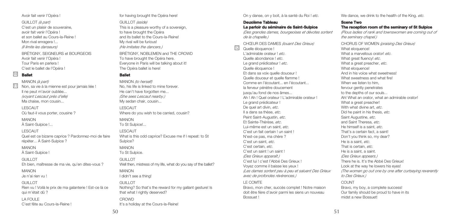50

Avoir fait venir l'Opéra !

GUILLOT *(à part)* C'est un plaisir de souveraine, avoir fait venir l'Opéra ! et son ballet au Cours-la-Reine ! Mon rival enragera !... *(Il limite les danseurs)*

BRÉTIGNY, SEIGNEURS et BOURGEOIS Avoir fait venir l'Opéra ! Tour Paris en parlera ! C'est le ballet de l'Opéra !

### **Ballet** 11 10

MANON *(à part)* Non, sa vie à la mienne est pour jamais liée ! Il ne peut m'avoir oubliée... *(voyant Lescaut près d'elle)* Ma chaise, mon cousin...

LESCAUT Où faut-il vous porter, cousine ?

MANON À Saint-Sulpice !...

LESCAUT Quel est ce bizarre caprice ? Pardonnez-moi de faire répéter... À Saint-Sulpice ?

MANON À Saint-Sulpice !

GUILLOT Eh bien, maîtresse de ma vie, qu'en dites-vous ?

MANON

Je n'ai rien vu !

### GUILLOT Rien vu ! Voilà le prix de ma galanterie ! Est-ce là ce qui m'était dû ?

LA FOULE C'est fête au Cours-la-Reine ! for having brought the Opéra here!

GUILLOT *(aside)* This is a pleasure worthy of a sovereign, to have brought the Opéra and its ballet to the Cours-la-Reine! My rival will be furious! *(He imitates the dancers.)*

BRÉTIGNY, NOBLEMEN and THE CROWD To have brought the Opéra here. Everyone in Paris will be talking about it! The Opéra ballet is here!

### **Ballet**

MANON *(to herself)* No, his life is linked to mine forever. He can't have forgotten me... *(She sees Lescaut nearby.)* My sedan chair, cousin...

LESCAUT Where do you wish to be carried, cousin?

MANON To St Sulpice!...

LESCAUT What is this odd caprice? Excuse me if I repeat: to St Sulpice? MANON

To St Sulpice.

GUILLOT Well then, mistress of my life, what do you say of the ballet?

MANON

I didn't see a thing!

GUILLOT. Nothing? So that's the reward for my gallant gesture! Is that what I rightly deserved? **CROWD** It's a holiday at the Cours-la-Reine!

On y danse, on y boit, à la santé du Roi ! *etc*.

**Deuxième Tableau La parloir du séminaire de Saint-Sulpice**

12

*(Des grandes dames, bourgeoises et dévotes sortent de la chapelle.)*

CHŒUR DES DAMES *(louant Des Grieux)* Quelle éloquence ! L'admirable orateur ! *etc*. Quelle abondance ! *etc*. Le grand prédicateur ! *etc*. Quelle éloquence ! Et dans sa voix quelle douceur ! Quelle douceur et quelle flamme ! Comme en l'écoutant... en l'écoutant... la ferveur pénètre doucement jusqu'au fond de nos âmes... Ah ! Ah ! Quel orateur ! L'admirable orateur ! Le grand prédicateur ! De quel art divin, *etc*. Il a dans sa thèse, *etc*. Peint Saint-Augustin, *etc*. Et Sainte-Thérèse, *etc*. Lui-même est un saint, *etc*. C'est un fait certain ! un saint ! N'est-ce pas, ma chère ? C'est un saint, *etc*. C'est certain, *etc*. C'est un saint ! un saint ! *(Des Grieux apparaît.)* C'est lui ! c'est l'Abbé Des Grieux ! Voyez comme il baisse les yeux ! *(Les dames sortent peu à peu et saluent Des Grieux avec de profondes révérences.)* LE COMTE

Bravo, mon cher, succès complet ! Notre maison doit être fière d'avoir parmi les siens un nouveau Bossuet !

We dance, we drink to the health of the King. *etc*.

**Scene Two The reception room of the seminary of St Sulpice** *(Pious ladies of rank and townswomen are coming out of the seminary chapel.)*

CHORUS OF WOMEN *(praising Des Grieux)* What eloquence! What a marvellous orator! *etc*. What great fluency! *etc*. What a great preacher, *etc.* What eloguence! And in his voice what sweetness! What sweetness and what fire! When we listen to him fervour gently penetrates to the depths of our souls. Ah! What an orator, what an admirable orator! What a great preacher! With what divine art, *etc.* Did he paint in his thesis, *etc*. Saint Augustine, *etc*. and Saint Theresa, *etc*. He himself is a saint, *etc*. That's a certain fact, a saint! Don't you think so, my dear? He is a saint, *etc*. That is certain, *etc*. He is a saint, a saint. *(Des Grieux appears.)* There he is. It's the Abbé Des Grieux! Look at the way he lowers his eyes! *(The women go out one by one after curtseying reverently to Des Grieux.)*

COUNT

Bravo, my boy, a complete success! Our family should be proud to have in its midst a new Bossuet!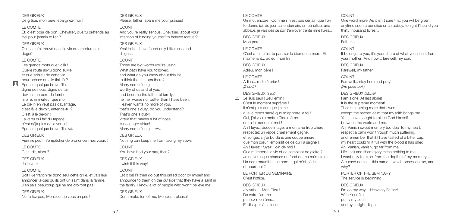Oui ! Je n'ai trouvé dans la vie qu'amertume et

Et, c'est pour de bon, Chevalier, que tu prétends au

Les grands mots que voilà ! Quelle route as-tu donc suivie, et que sais-tu de cette vie pour penser qu'elle finit là ? Épouse quelque brave fille, digne de nous, digne de toi, deviens un père de famille ni pire, ni meilleur que moi. Le ciel n'en veut pas davantage, c'est là le devoir, entends-tu ? C'est là le devoir ! La vertu qui fait du tapage n'est déjà plus de la vertu ! Épouse quelque brave fille, *etc*

De grâce, mon père, épargnez-moi !

DES GRIEUX Rien ne peut m'empêcher de prononcer mes vœux !

LE COMTE

DES GRIEUX

LE COMTE

dégoût. LE COMTE

13

ciel pour jamais te lier ? DES GRIEUX

C'est dit, alors ?

DES GRIEUX

Je le veux !

### LE COMTE

Soit ! Je franchirai donc seul cette grille, et vais leur annoncer là-bas qu'ils ont un saint dans la famille. J'en sais beaucoup qui ne me croiront pas !

#### DES GRIEUX

Ne raillez pas, Monsieur, je vous en prie !

DES GRIEUX Please, father, spare me your praises!

And you're really serious, Chevalier, about your intention of binding yourself to heaven forever?

DES GRIEUX Yes! In life I have found only bitterness and disgust.

#### COUNT

COUNT

Those are big words you're using! What path have you followed, and what do you know about this life, to think that it stops there? Marry some fine girl, worthy of us and of you, and become the father of family, neither worse nor better than I have been. Heaven wants no more of you, that's one's duty, do you understand? That's one's duty! Virtue that makes a lot of nose is no longer virtue! Marry some fine girl, *etc*.

DES GRIEUX Nothing can keep me from taking my vows!

**COUNT** You have had your say, then? DES GRIEUX

I wish it this way!

### COUNT

Let it be! I'll then go out this grilled door by myself and announce to them on the outside that they have a saint in the family. I know a lot of people who won't believe me! DES GRIEUX Don't make fun of me, Monsieur, please!

### LE COMTE

Un mot encore ! Comme il n'est pas certain que l'on te donne ici, du jour au lendemain, un bénéfice, une abbaye, je vais dès ce soir t'envoyer trente mille livres...

### DES GRIEUX

Mon père...

### LE COMTE

C'est à toi, c'est ta part sur le bien de ta mère. Et maintenant... adieu, mon fils.

DES GRIEUX

Adieu, mon père !

LE COMTE

Adieu... reste à prier ! *(Il sort.)*

DES GRIEUX *(seul)* Je suis seul ! Seul enfin ! 14

C'est le moment suprême ! Il n'est plus rien que j'aime que le repos sacré que m'apporte la foi ! Oui, j'ai voulu mettre Dieu même entre le monde et moi ! Ah ! fuyez, douce image, à mon âme trop chère ; respectez un repos cruellement gagné, et songez si j'ai bu dans une coupe amère, que mon cœur l'emplirait de ce qu'il a saigné ! Ah ! fuyez ! fuyez ! loin de moi ! Que m'importe la vie et ce semblant de gloire ? Je ne veux que chasser du fond de ma mémoire... Un nom maudit !... ce nom... qui m'obsède, et pourquoi ? LE PORTIER DU SÉMINAIRE C'est l'office.

DES GRIEUX J'y vais !... Mon Dieu ! De votre flamme purifiez mon âme... Et dissipez à sa lueur

One word more! As it isn't sure that you will be given anytime soon a benefice or an abbey, tonight I'll send you thirty thousand livres... DES GRIEUX Father... COUNT. It belongs to you, it's your share of what you inherit from your mother. And now... farewell, my son. DES GRIEUX Farewell, my father! COUNT. Farewell... stay here and pray! *(He goes out.)* DES GRIEUX *(alone)* I am alone! At last alone! It is the supreme moment! There is nothing more that I want except the sacred calm that my faith brings me. Yes, I have sought to place God himself between the world and me. Ah! Vanish sweet memory too dear to my heart; respect a calm won through much suffering, and remember that if I have tasted of a bitter cup, my heart could fill it full with the blood it has shed! Ah! Vanish, vanish, go far from me! Life itself and sham glory mean nothing to me. I want only to expel from the depths of my memory... A cursed name!... this name... which obsesses me, and why? PORTER OF THE SEMINARY The service is beginning.

DES GRIEUX I'm on my way... Heavenly Father! With Your fire purify my soul! and by its light dispel

COUNT.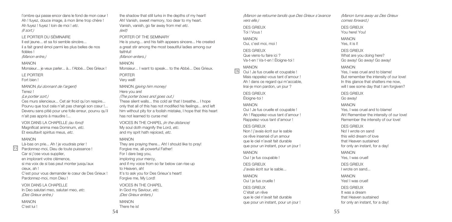l'ombre qui passe encor dans le fond de mon cœur ! Ah ! fuyez, douce image, à mon âme trop chère ! Ah fuyez ! fuyez ! loin de moi ! *etc*. *(Il sort.)*

#### LE PORTIER DU SÉMINAIRE

Il est jeune... et sa foi semble sincère... il a fait grand émoi parmi les plus belles de nos fidèles !

*(Manon entre.)*

MANON Monsieur... je veux parler... à... l'Abbé... Des Grieux !..

#### LE PORTIER Fort bien !

MANON *(lui donnant de l'argent)* Tenez !

*(Le portier sort.)*

## Ces murs silencieux... Cet air froid qu'on respire...

Pourvu que tout cela n'ait pas changé son cœur !... Devenu sans pitié pour une folle erreur, pourvu qu'il n'ait pas appris à maudire !...

VOIX DANS LA CHAPELLE *(au fond)* Magnificat anima mea Dominum, *etc*. Et exsultavit spiritus meus, *etc*.

#### MANON

15

Là-bas on prie... Ah ! je voudrais prier ! Pardonnez-moi, Dieu de toute puissance ! Car si j'ose vous supplier, en implorant votre clémence, si ma voix de si bas peut monter jusqu'aux cieux, ah ! C'est pour vous demander le cœur de Des Grieux ! Pardonnez-moi, mon Dieu ! VOIX DANS LA CHAPELLE

In Deo salutari meo, salutari meo, *etc*. *(Des Grieux entre.)*

MANON

C'est lui !

the shadow that still lurks in the depths of my heart! Ah! Vanish, sweet memory, too dear to my heart. Vanish, vanish, go far away from me! *etc*. *(exit)*

### PORTER OF THE SEMINARY

He is young... and his faith appears sincere... He created a great stir among the most beautiful ladies among our faithfull

*(Manon enters.)*

#### MANON

Monsieur... I want to speak... to the Abbé... Des Grieux.

PORTER Very well!

MANON *(giving him money)* Here you are! *(The porter bows and goes out.)*

These silent walls... this cold air that I breathe... I hope only that all of this has not modified his feelings... and left

him without pity for a foolish mistake, I hope that this heart has not learned to curse me!

VOICES IN THE CHAPEL *(in the distance)* My soul doth magnify the Lord, *etc*. and my sprit hath rejoiced, *etc*.

### MANON

They are praying there... Ah! I should like to pray! Forgive me, all-powerful Father! For I dare beg you, imploring your mercy, and if my voice from so far below can rise up to Heaven, ah! It's to ask you for Des Grieux's heart! Forgive me, My Lord! VOICES IN THE CHAPEL In God my Saviour, *etc*. *(Des Grieux enters.)* MANON

*(Manon se retourne tandis que Des Grieux s'avance vers elle.)*

#### DES GRIEUX Toi ! Vous !

MANON Oui, c'est moi, moi !

DES GRIEUX Que viens-tu faire ici ? Va-t-en ! Va-t-en ! Éloigne-toi !

### MANON

Oui ! Je fus cruelle et coupable ! Mais rappelez-vous tant d'amour ! Ah ! dans ce regard qui m'accable. lirai-je mon pardon, un jour ? 16

> DES GRIEUX Éloigne-toi !

### MANON

Oui ! Je fus cruelle et coupable ! Ah ! Rappelez-vous tant d'amour ! Rappelez-vous tant d'amour !

### DES GRIEUX

Non ! j'avais écrit sur le sable ce rêve insensé d'un amour que le ciel n'avait fait durable que pour un instant, pour un jour !

MANON Oui ! je fus coupable !

DES GRIEUX J'avais écrit sur le sable...

### MANON Oui ! je fus cruelle !

DES GRIEUX C'était un rêve que le ciel n'avait fait durable que pour un instant, pour un jour !

*(Manon turns away as Des Grieux comes forward.)*

### DES GRIEUX You here! You!

MANON Yes, it is I!

DES GRIEUX

What are you doing here? Go away! Go away! Go away!

### MANON

Yes, I was cruel and to blame! But remember the intensity of our love! In this glance that shatters me now, will I see some day that I am forgiven? DES GRIEUX

Go away!

MANON

Yes, I was cruel and to blame! Ah! Remember the intensity of our love! Remember the intensity of our love!

#### DES GRIEUX

No! I wrote on sand this wild dream of love that Heaven sustained for only an instant, for a day! MANON Yes, I was cruel! DES GRIEUX I wrote on sand... MANON Yes! I was cruel!

DES GRIEUX It was a dream that Heaven sustained for only an instant, for a day!

There he is!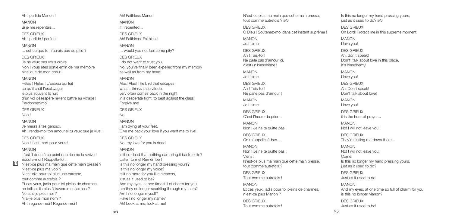Ah ! perfide Manon !

MANON

Si je me repentais...

DES GRIEUX

Ah ! perfide ! perfide !

MANON

... est-ce que tu n'aurais pas de pitié ?

#### DES GRIEUX

Je ne veux pas vous croire. Non ! vous êtes sortie enfin de ma mémoire ainsi que de mon cœur !

#### MANON

Hélas ! Hélas ! L'oiseau qui fuit ce qu'il croit l'esclavage, le plus souvent la nuit d'un vol désespéré revient battre au vitrage ! Pardonnez-moi !

DES GRIEUX

Non !

### MANON

Je meurs à tes genoux. Ah ! rends-moi ton amour si tu veux que je vive !

DES GRIEUX Non ! il est mort pour vous !

#### MANON

 $\frac{1}{2}$ 

L'est-il donc à ce point que rien ne le ravive ! Écoute-moi ! Rappelle-toi ! N'est-ce plus ma main que cette main presse ? N'est-ce plus ma voix ? N'est-elle pour toi plus une caresse, tout comme autrefois ? Et ces yeux, jadis pour toi pleins de charmes, ne brillent-ils plus à travers mes larmes ? Ne suis-je plus moi ? N'ai-je plus mon nom ? Ah ! regarde-moi ! Regarde-moi !

Ah! Faithless Manon!

MANON If I repented... DES GRIEUX

Ah! Faithless! Faithless!

MANON ... would you not feel some pity?

DES GRIEUX I do not want to trust you. No, you've finally been expelled from my memory as well as from my heart!

MANON Alas! Alas! The bird that escapes what it thinks is servitude, very often comes back in the night in a desperate flight, to beat against the glass! Forgive me!

DES GRIEUX No!

MANON I am dying at your feet. Give me back your love if you want me to live!

DES GRIEUX No, my love for you is dead!

#### MANON

Is it so dead that nothing can bring it back to life? Listen to me! Remember! Is this no longer my hand pressing yours? Is this no longer my voice? Is it no more for you like a caress, just as it used to be? And my eyes, at one time full of charm for you, are they no longer sparkling through my tears? Am I no longer myself? Have I no longer my name? Ah! Look at me, look at me!

N'est-ce plus ma main que cette main presse, tout comme autrefois ? *etc*.

DES GRIEUX Ô Dieu ! Soutenez-moi dans cet instant suprême !

MANON Je t'aime ! DES GRIEUX Ah ! Tais-toi ! Ne parle pas d'amour ici, c'est un blasphème !

MANON

Je t'aime ! DES GRIEUX Ah ! Tais-toi ! Ne parle pas d'amour !

MANON Je t'aime ! DES GRIEUX C'est l'heure de prier...

MANON Non ! Je ne te quitte pas !

DES GRIEUX On m'appelle là-bas...

MANON Non ! Je ne te quitte pas ! Viens ! N'est-ce plus ma main que cette main presse, tout comme autrefois ?

DES GRIEUX Tout comme autrefois !

MANON Et ces yeux, jadis pour toi pleins de charmes, n'est-ce plus Manon ? DES GRIEUX Tout comme autrefois !

just as it used to do? *etc*. DES GRIEUX Oh Lord! Protect me in this supreme moment! MANON I love you! DES GRIEUX Ah, don't speak! Don't' talk about love in this place, it's blasphemy! MANON I love you! DES GRIEUX Ah! Don't speak! Don't talk about love! MANON I love you! DES GRIEUX it is the hour of prayer... MANON No! I will not leave you! DES GRIEUX They're calling me down there... MANON No! I will not leave you! Come! Is this no longer my hand pressing yours, just as it used to do? DES GRIEUX Just as it used to do!

Is this no longer my hand pressing yours,

MANON And my eyes, at one time so full of charm for you, is this no longer Manon? DES GRIEUX Just as it used to be!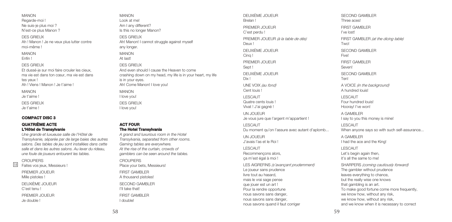Regarde-moi ! Ne suis-je plus moi ? N'est-ce plus Manon ? DES GRIEUX Ah ! Manon ! Je ne veux plus lutter contre DES GRIEUX Et dussé-je sur moi faire crouler les cieux, ma vie est dans ton cœur, ma vie est dans Ah ! Viens ! Manon ! Je t'aime !

tes yeux ! MANON Je t'aime !

MANON

moi-même ! MANON Enfin !

DES GRIEUX Je t'aime !

### **COMPACT DISC 3**

### **QUATRIÈME ACTE L'Hôtel de Transylvanie**

*Une grande et luxueuse salle de l'Hôtel de Transylvanie, séparée par de large baies des autres salons. Des tables de jeu sont installées dans cette salle et dans les autres salons. Au lever du rideau, une foule de joueurs entourent les tables.*

### CROUPIERS

18

Faites vos jeux, Messieurs !

PREMIER JOUEUR Mille pistoles ! DEUXIÈME JOUEUR

C'est tenu !

PREMIER JOUEUR Je double !

MANON Look at me! Am I any different? Is this no longer Manon? DES GRIEUX Ah! Manon! I cannot struggle against myself any longer. MANON At last!

DES GRIEUX And even should I cause the Heaven to come crashing down on my head, my life is in your heart, my life is in your eyes. Ah! Come Manon! I love you! MANON

I love you!

DES GRIEUX I love you!

### **ACT FOUR The Hotel Transylvania**

*A grand and luxurious room in the Hotel Transylvania, separated from other rooms. Gaming tables are everywhere. At the rise of the curtain, crowds of gamblers can be seen around the tables.* CROUPIERS Place your bets, Messieurs! FIRST GAMBLER A thousand pistoles! SECOND GAMBLER I'll take that! **FIRST GAMBLER** I double!

DEUXIÈME JOUEUR Brelan ! PREMIER JOUEUR C'est perdu ! PREMIER JOUEUR *(à la table de dés)* Deux ! DEUXIÈME JOUEUR Cinq ! PREMIER JOUEUR Sont ! DEUXIÈME JOUEUR Dix ! UNE VOIX *(au fond)* Cent louis ! LESCAUT Quatre cents louis ! Vivat ! J'ai gagné ! UN JOUEUR Je vous jure que l'argent m'appartient ! LESCAUT Du moment qu'on l'assure avec autant d'aplomb... UN JOUEUR J'avais l'as et le Roi ! LESCAUT Recommençons alors, ça m'est égal à moi ! LES AIGREFINS *(s'avançant prudemment)* Le joueur sans prudence livre tout au hasard, mais le vrai sage pense que jouer est un art ! Pour la rendre opportune nous savons sans danger, nous savons sans danger,

nous savons quand il faut corriger

SECOND GAMBLER Three acos<sup>1</sup> FIRST GAMBLER I've lost! FIRST GAMBLER *(at the dicing table)* Two! SECOND GAMBLER Five! FIRST GAMBLER Sevent SECOND GAMBLER Ten! A VOICE *(in the background)* A hundred louis! LESCAUT Four hundred louis! Hooray! I've won! A GAMBLER I say to you this money is mine! LESCAUT When anyone says so with such self-assurance... A GAMBLER I had the ace and the King! LESCAUT Let's begin again then, it's all the same to me! SHARPERS *(coming cautiously forward)* The gambler without prudence leaves everything to chance, but the really wise one knows that gambling is an art. To make good fortune come more frequently, we know how, without any risk, we know how, without any risk, and we know when it is necessary to correct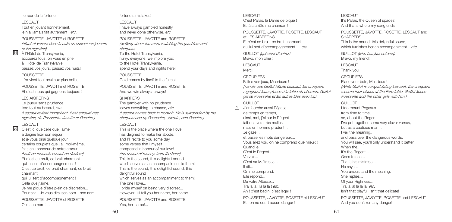#### l'erreur de la fortune !

#### LESCAUT

Tout en jouant honnêtement, je n'ai jamais fait autrement ! *etc*.

POUSSETTE, JAVOTTE et ROSETTE *(allant et venant dans la salle en suivant les joueurs et les aigrefins)*

À l'Hôtel de Transylvanie, 19 accourez tous, on vous en prie ; à l'Hôtel de Transylvanie, passez vos jours, passez vos nuits!

#### POUSSETTE

L'or vient tout seul aux plus belles !

POUSSETTE, JAVOTTE et ROSETTE Et c'est nous qui gagnons toujours !

#### LES AIGREFINS

Le joueur sans prudence livre tout au hasard, *etc*. *(Lescaut revient triomphant. Il est entouré des aigrefins, de Poussette, Javotte et Rosette.)* LESCAUT

## 20

C'est ici que celle que j'aime a daigné fixer son séjour, et je vous dirai quelque jour certains couplets que j'ai, moi-même, faits en l'honneur de notre amour ! *(bruit de monnaie venant de derrière)* Et c'est ce bruit, ce bruit charmant qui lui sert d'accompagnement ! C'est ce bruit, ce bruit charmant, ce bruit charmant qui lui sert d'accompagnement ! Celle que j'aime... Je me pique d'être plein de discrétion... Pourtant... Je vous dirai son nom... son nom...

POUSSETTE, JAVOTTE et ROSETTE Oui, son nom !...

#### fortune's mistakes!

LESCAUT I have always gambled honestly and never done otherwise. *etc*.

POUSSETTE, JAVOTTE and ROSETTE *(walking about the room watching the gamblers and sharpers)*

To the Hotel Transylvania, hurry, everyone, we implore you; to the Hotel Transylvania, spend your days and nights here!

POUSSETTE Gold comes by itself to the fairest!

POUSSETTE, JAVOTTE and ROSETTE And we win always! always!

### SHARPERS

The gambler with no prudence leaves everything to chance, *etc*. *(Lescaut comes back in triumph. He is surrounded by the sharpers and by Poussette, Javotte, and Rosette.)*

### LESCAUT

This is the place where the one I love has deigned to make her abode, and I'll recite to you some day some verses that I myself composed in honour of our love! *(the sound of money, from the back)* This is the sound, this delightful sound which serves as an accompaniment to them! This is the sound, this delightful sound, this delightful sound which serves as an accompaniment to them! The one I love... I pride myself on being very discreet... However, I'll tell you her name, her name...

POUSSETTE, JAVOTTE and ROSETTE Yes, her name!...

LESCAUT C'est Pallas, la Dame de pique ! Et là s'arrête ma chanson !

POUSSETTE, JAVOTTE, ROSETTE, LESCAUT et LES AIGREEINIS Et c'est ce bruit, ce bruit charmant

qui lui sert d'accompagnement !... *etc*.

GUILLOT *(qui vient d'entrer)* Bravo, mon cher !

LESCAUT Merci !

CROUPIERS

Faites vos jeux, Messieurs !

*(Tandis que Guillot félicite Lescaut, les croupiers regagnent leurs places à la table du pharaon. Guillot garde Poussette et les autres filles avec lui.)*

### GUILLOT.

21

J'enfourche aussi Pégase de temps en temps, ainsi, moi, j'ai sur le Régent fait des vers très malins, mais en homme prudent... Je gaze... et passe les mots dangereux... Vous allez voir, on ne comprend que mieux ! Quand le... C'est le Régent... Va voir... C'est sa Maîtresse... Il dit... On me comprend. Elle répond... De votre Altesse... Tra la la ! la la la ! *etc*. Ah ! c'est badin, c'est léger !

POUSSETTE, JAVOTTE, ROSETTE et LESCAUT Et l'on ne court aucun danger !

LESCAUT It's Pallas, the Queen of spades! And that's where my song ends! POUSSETTE, JAVOTTE, ROSETTE, LESCAUT and **CHADDEDS** This is the sound, this delightful sound, which furnishes her an accompaniment... *etc*. GUILLOT *(who has just entered)* Bravo, my friend! LESCAUT Thank you! CROUPIERS Place your bets, Messieurs! *(While Guillot is congratulating Lescaut, the croupiers resume their places at the Faro table. Guillot keeps Poussette and the other girls with him.)*

#### GUILLOT

I too mount Pegasus from time to time, so, about the Regent I've put together some very clever verses, but as a cautious man... I veil the meaning... and pass over the dangerous words, You will see, you'll only understand it better! When the... It's the Regent... Goes to see... That's his mistress... He says... You understand the meaning. She replies... Of your Highness... Tra la la! la la la! *etc*. Isn't that playful, isn't that delicate!

POUSSETTE, JAVOTTE, ROSETTE and LESCAUT And you don't run any danger!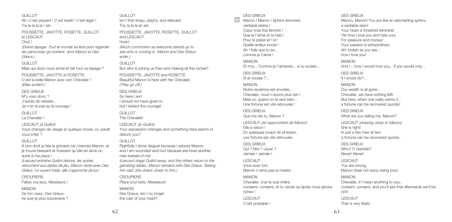Ah ! c'est piquant ! C'est badin ! c'est léger ! Tra la la la la ! *etc*. POUSSETTE, JAVOTTE, ROSETTE, GUILLOT *(Grand tapage. Tout le monde se lève pour regarder les personnes qui entrent, dont Manon et Des* Mais qui donc nous arrive et fait tout ce tapage ? POUSSETTE, JAVOTTE et ROSETTE C'est la belle Manon avec son Chevalier ! *(Elles sortent.)* M'y voici donc ? J'aurais dû résister... Je n'en ai pas eu le courage ! LESCAUT *(à Guillot)* Vous changez de visage et quelque chose, ici, paraît À bon droit je fais la grimace car j'adorais Manon, et ie trouve blessant et froissant qu'elle en aime un autre à ma place ! *(Lescaut entraîne Guillot dehors, les autres retournent aux tables de jeu. Manon reste avec Des Grieux. Le voyant triste, elle s'approche de lui.)* Faites vos jeux, Messieurs ! GUILLOT. Tra, la la la la! *etc*. and LESCAUT Hush! *enter.)* GUILLOT *(They go off.)* DES GRIEUX So here I am! GUILLOT. The Chevalier! disturb you? GUILLOT. MANON

GUILLOT

et LESCAUT Chut !

*Grieux.)* GUILLOT

DES GRIEUX

GUILLOT Le Chevalier !

vous irriter ? GUILLOT

**CROUPIERS** 

MANON De ton cœur, Des Grieux, ne suis-je plus souveraine ?

man instead of me! **CROUPIERS** Place your bets, Messieurs! Des Grieux, am I no longer the ruler of your heart?

Isn't that sharp, playful, and delicate! POUSSETTE, JAVOTTE, ROSETTE, GUILLOT *(Much commotion as everyone stands up to see who is coming in. Manon and Des Grieux* But who is joining us then and making all this racket? POUSSETTE, JAVOTTE and ROSETTE Beautiful Manon is here with her Chevalier. I should not have given in, but I lacked the courage! LESCAUT *(to Guillot)* Your expression changes and something here seems to Rightfully I show disgust because I adored Manon, and I am wounded and hurt because she loves another *(Lescaut drags Guillot away, and the others return to the gambling tables. Manon remains with Des Grieux. Seeing him sad, she draws closer to him.)*

### DES GRIEUX

Manon ! Manon ! Sphinx étonnant, <sup>22</sup> DES GRIEUX véritable sirène ! Cœur trois fois féminin ! Que je t'aime et te hais ! Pour le plaisir et l'or ! Quelle ardeur inouïe ! Ah ! folle que tu es... comme je t'aime !

MANON Et moi... Comme je t'aimerais... si tu voulais...

DES GRIEUX Si je voulais ?...

MANON Notre opulence est envolée... Chevalier, nous n'avons plus rien ! Mais ici, quand on le veut bien... Une fortune est vite retrouvée !

DES GRIEUX Que me dis-tu, Manon ? LESCAUT *(se rapprochant de Manon)* Elle a raison !

En quelques coups de pharaon, une fortune est vite retrouvée.

DES GRIEUX Qui ? Moi ? Jouer ? Jamais ! Jamais !

LESCAUT Vous avez tort, Manon n'aime pas la misère.

MANON Chevalier, si je te suis chère, consens, consens, et tu verras qu'après nous serons riches !

LESCAUT C'est probable ! Manon, Manon! You are like an astonishing sphinx, a veritable siren! Your heart is threefold feminine! Yet how I love you and hate you! For pleasure and money! Your passion is extraordinary Ah! foolish as you are... how I love you! MANON And I... how I would love you... if you would only... DES GRIEUX If I would do?... MANON Our wealth is all gone... Chevalier, we have nothing left! But here, when one really wants it... a fortune can be recovered quickly! DES GRIEUX

What are you telling me, Manon?

LESCAUT *(drawing close to Manon)* She is right! In just a few tries at faro a fortune can be recovered quickly.

DES GRIEUX Who? I? Gamble? Never! Never!

LESCAUT You are wrong, Manon does not enjoy being poor.

MANON Chevalier, if I mean anything to you, consent, consent, and you'll see that afterwards we'll be rich! LESCAUT That is very likely!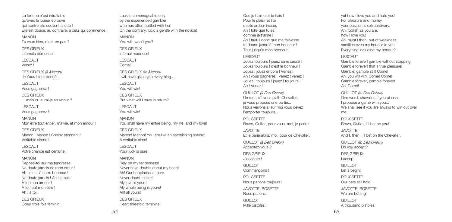La fortune n'est intraitable qu'avec le joueur éprouvé qui contre elle souvent a lutté ! Elle est douce, au contraire, à celui qui commence ! MANON Tu veux bien, n'est-ce pas ? DES GRIEUX Infernale démence ! LESCAUT Venez !

DES GRIEUX *(à Manon)* Je t'aurai tout donné...

LESCAUT

Vous gagnerez !

DES GRIEUX

... mais qu'aurai-je en retour ?

LESCAUT Vous gagnerez !

MANON Mon être tout entier, ma vie, et mon amour !

DES GRIEUX Manon ! Manon ! Sphinx étonnant ! Véritable sirène !

LESCAUT Votre chance est certaine !

#### MANON

Repose-toi sur ma tendresse ! Ne doute jamais de mon cœur ! Ah ! c'est là notre bonheur ! Ne doute jamais ! Ah ! jamais ! À toi mon amour ! À toi tout mon être ! Ah ! à toi ! DES GRIEUX Cœur trois fois féminin !

Luck is unmanageable only by the experienced gambler who has often battled with her! On the contrary, luck is gentle with the novice! MANON You will, won't you? DES GRIEUX Infernal madness! LESCAUT Come! DES GRIEUX *(to Manon)* I will have given you everything...

LESCAUT. You will win! DES GRIEUX But what will I have in return? LESCAUT You will win!

MANON You shall have my entire being, my life, and my love!

DES GRIEUX Manon! Manon! You are like an astonishing sphinx! A veritable siren!

LESCAUT Your luck is sure!

### MANON

Rely on my tenderness! Never have doubts about my heart! Ah! Our happiness is there. Never doubt, never! My love is yours! My whole being is yours! Ah! all yours! DES GRIEUX Heart threefold feminine!

Que je t'aime et te hais ! Pour le plaisir et l'or quelle ardeur inouïe. Ah ! folle que tu es, comme je t'aime ! Ah ! faut-il donc que ma faiblesse te donne jusqu'à mon honneur ! Tout jusqu'à mon honneur !

LESCAUT

Jouez toujours ! jouez sans cesse ! Jouez toujours ! c'est le bonheur ! Jouez ! jouez encore ! Venez ! Ah ! vous gagnerez ! Venez ! venez ! Jouez ! toujours ! jouez ! toujours ! Ah ! Venez !

GUILLOT *(à Des Grieux)* Un mot, s'il vous plaît, Chevalier, je vous propose une partie... Nous verrons si sur moi vous devez l'emporter toujours...

POUSSETTE Bravo, Guillot, pour vous, moi, je parie ! JAVOTTE Et je parie alors, moi, pour ce Chevalier. GUILLOT *(à Des Grieux)* Acceptez-vous ? DES GRIEUX J'accepte ! GUILLOT Commençons ! **POUSSETTE** Nous parions toujours ! JAVOTTE, ROSETTE Nous parions ! GUILLOT Mille pistoles !

yet how I love you and hate you! For pleasure and money your passion is extraordinary. Ah! foolish as you are, how I love you! Ah! must I then, out of weakness sacrifice even my honour to you! Everything including my honour?

#### LESCAUT

Gamble forever! gamble without stopping! Gamble forever! that's true pleasure! Gamble! gamble still! Come! Ah! you will win! Come! Come! Gamble forever, gamble forever! Ah! Come!

GUILLOT *(to Des Grieux)* One word, chevalier, if you please, I propose a game with you... We shall see if you are always to win out over me...

POUSSETTE Bravo, Guillot, I'll bet on you! JAVOTTE And I, then, I'll het on the Chevalier. GUILLOT *(to Des Grieux)* Do you accept? DES GRIEUX I accept! GUILLOT Let's begin! **POUSSETTE** Our bets still hold! JAVOTTE, ROSETTE We are betting! GUILLOT A thousand pistoles.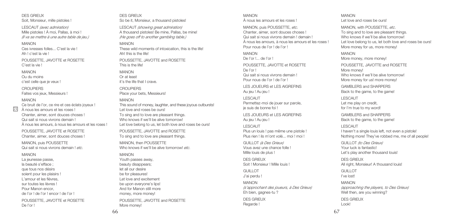DES GRIEUX Soit, Monsieur, mille pistoles !

LESCAUT *(avec admiration)* Mille pistoles ! À moi, Pallas, à moi ! *(Il va se mettre à une autre table de jeu.)*

#### MANON

Ces ivresses folles... C'est la vie ! Ah ! c'est la vie !

POUSSETTE, JAVOTTE et ROSETTE C'est la vie l

#### MANON

Ou du moins c'est celle que je veux !

CROUPIERS Faites vos jeux, Messieurs !

#### MANON

Ce bruit de l'or, ce rire et ces éclats joyeux ! À nous les amours et les roses ! Chanter, aimer, sont douces choses ! Qui sait si nous vivrons demain ! À nous les amours, à nous les amours et les roses !

POUSSETTE, JAVOTTE et ROSETTE Chanter, aimer, sont douces choses !

MANON, puis POUSSETTE Qui sait si nous vivrons demain ! *etc*.

#### MANON

La jeunesse passe. la beauté s'efface ; que tous nos désirs soient pour les plaisirs ! L'amour et les fièvres, sur toutes les lèvres ! Pour Manon encor, de l'or ! de l'or ! encor ! de l'or ! POUSSETTE, JAVOTTE et ROSETTE De l'or !

DES GRIEUX So be it, Monsieur, a thousand pistoles!

LESCAUT *(showing great admiration)* A thousand pistoles! Be mine, Pallas, be mine! *(He goes off to another gambling table.)*

#### MANON

These wild moments of intoxication, this is the life! Ah! this is the life! POUSSETTE, JAVOTTE and ROSETTE This is the life!

#### MANON

Or at least it's the life that I crave.

CROUPIERS Place your bets, Messieurs!

#### MANON

This sound of money, laughter, and these joyous outbursts! Let love and roses be ours! To sing and to love are pleasant things. Who knows if we'll be alive tomorrow! Let love belong to us, let both love and roses be ours!

POUSSETTE, JAVOTTE and ROSETTE To sing and to love are pleasant things.

MANON, then POLISSETTE Who knows if we'll be alive tomorrow! *etc*. MANON Youth passes away, beauty disappears; let all our desire be for pleasures! Let love and excitement be upon everyone's lips! And for Manon still more money, more money!

POUSSETTE, JAVOTTE and ROSETTE More money!

#### MANON À nous les amours et les roses !

MANON, puis POUSSETTE, *etc*. Chanter, aimer, sont douces choses ! Qui sait si nous vivrons demain ! demain ! À nous les amours, à nous les amours et les roses ! Pour nous de l'or ! de l'or !

MANON De l'or !... de l'or !. POUSSETTE, JAVOTTE et ROSETTE De l'or ! Qui sait si nous vivrons demain ! Pour nous de l'or ! de l'or !

LES JOUEURS et LES AIGREFINS Au jeu ! Au jeu !

LESCAUT Permettez-moi de jouer sur parole, je suis de bonne foi !

LES JOUEURS et LES AIGREFINS Au jeu ! Au jeu !

LESCAUT Plus un louis ! pas même une pistole ! Plus rien ! ils m'ont volé moi ! moi !

GUILLOT *(à Des Grieux)* Vous avez une chance folle ! Mille louis de plus !

DES GRIEUX Soit ! Monsieur ! Mille louis !

GUILLOT.

J'ai perdu !

MANON *(s'approchant des joueurs, à Des Grieux)* Eh bien, gagnes-tu ? DES GRIEUX Regarde !

MANON Let love and roses be ours!

MANON, with POUSSETTE, etc. To sing and to love are pleasant things. Who knows if we'll be alive tomorrow! Let love belong to us, let both love and roses be ours! More money for us, more money!

MANON More money, more money! POUSSETTE, JAVOTTE and ROSETTE More money! Who knows if we'll be alive tomorrow! More money for us! more money!

GAMBLERS and SHARPERS Back to the game, to the game!

LESCAUT Let me play on credit, for I'm true to my word!

GAMBLERS and SHARPERS Back to the game, to the game!

LESCAUT I haven't a single louis left, not even a pistole! Nothing more! They've robbed me, me of all people!

GUILLOT *(to Des Grieux)* Your luck is fantastic! Let's play another thousand louis!

DES GRIEUX All right, Monsieur! A thousand louis!

GUILLOT I've lost!

MANON *(approaching the players, to Des Grieux)* Well then, are you winning? DES GRIEUX

Look!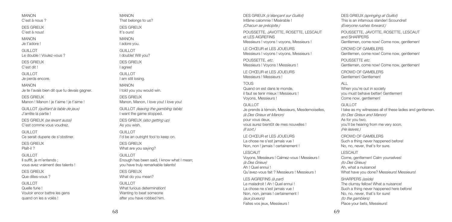MANON C'ost à nous 2

DES GRIEUX C'est à nous!

MANON Je t'adore !

GUILLOT

Le double ! Voulez-vous ?

DES GRIEUX C'est dit !

GUILLOT Je perds encore.

MANON Je te l'avais bien dit que tu devais gagner.

DES GRIEUX Manon ! Manon ! je t'aime ! je t'aime !

GUILLOT *(quittant la table de jeux)* J'arrête la partie !

DES GRIEUX *(se levant aussi)* C'est comme vous voudrez.

GUILLOT Ce serait duperie de s'obstiner.

DES GRIEUX Plaît-il ?

GUILLOT

Il suffit, je m'entends ; vous avez vraiment des talents !

DES GRIEUX

Que dites-vous ?

GUILLOT

Quelle furie ! Vouloir encor battre les gens quand on les a volés !

MANON That belongs to us?

DES GRIEUX It's ours!

MANON I adore you. GUILLOT. I double! Will you? DES GRIEUX I agree!

GUILLOT. I am still losing.

MANON I told you you would win. DES GRIEUX Manon, Manon, I love you! I love you! GUILLOT *(leaving the gambling table)* I want the game stopped.

DES GRIEUX *(also getting up)* As you wish.

GUILLOT I'd be an outright fool to keep on. DES GRIEUX

What are you saying?

GUILLOT. Enough has been said, I know what I mean; you have truly remarkable talents! DES GRIEUX

What do you mean?

GUILLOT. What furious determination! Wanting to beat someone after you have robbed him.

DES GRIEUX *(s'élançant sur Guillot)* Infâme calomnie ! Misérable ! *(Chacun se précipite.)* POUSSETTE, JAVOTTE, ROSETTE, LESCAUT et LES AIGREFINS

Messieurs ! voyons ! voyons, Messieurs !

LE CHŒUR et LES JOUEURS Messieurs ! voyons ! voyons, Messieurs !

POUSSETTE, *etc*. Messieurs ! Voyons ! Messieurs !

LE CHŒUR et LES JOUEURS Messieurs ! Messieurs !

TOLIC. Quand on est dans le monde, il faut se tenir mieux ! Messieurs ! Voyons, Messieurs !

GUILLOT. Je prends à témoin, Messieurs, Mesdemoiselles, *(à Des Grieux et Manon)* pour vous deux, vous aurez bientôt de mes nouvelles ! *(Il sort.)*

LE CHŒUR et LES JOUEURS La chose ne s'est jamais vue ! Non, non ! jamais ! certainement !

LESCAUT Voyons, Messieurs ! Calmez-vous ! Messieurs ! *(à Des Grieux)* Ah ! Quel ennui ! Qu'avez-vous fait ? Messieurs ! Messieurs !

LES AIGREFINS *(à part)* Le maladroit ! Ah ! Quel ennui ! La chose ne s'est jamais vue ! Non, non, jamais ! certainement ! *(aux joueurs)* Faites vos jeux, Messieurs !

DES GRIEUX *(springing at Guillot)* This is an infamous slander! Scoundrel! *(Everyone rushes forward.)* POUSSETTE, JAVOTTE, ROSETTE, LESCAUT and CHADDEDC Gentlemen, come now! Come now, gentlemen! CROWD OF GAMBLERS Gentlemen, come now! Come now, gentlemen!

POUSSETTE *etc*. Gentlemen, come now! Come now, gentlemen!

CROWD OF GAMBLERS Gentlemen! Gentlemen!

ALL

When you're out in society you must behave better! Gentlemen! Come now, gentlemen!

GUILLOT I take as my witnesses all of these ladies and gentlemen. *(to Des Grieux and Manon)* As for you two, you'll be hearing from me very soon. *(He leaves.)*

CROWD OF GAMBLERS Such a thing never happened before! No, no, never, that's for sure.

LESCAUT Come, gentlemen! Calm yourselves! *(to Des Grieux)* Ah, what a nuisance! What have you done? Messieurs! Messieurs!

SHARPERS *(aside)* The clumsy fellow! What a nuisance! Such a thing never happened here before! No, no, never, that's for sure! *(to the gamblers)* Place your bets, Messieurs!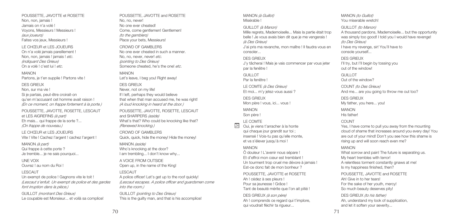# UNE VOIX LESCAUT

MANON *(à part)* Qui frappe à cette porte ? Je tremble... je ne sais pourquoi...

Un exempt de police ! Gagnons vite le toit ! *(Lescaut s'enfuit. Un exempt de police et des gardes font irruption dans la pièce.)*

GUILLOT *(montrant Des Grieux)* Le coupable est Monsieur... et voilà sa complice!

POUSSETTE, JAVOTTE et ROSETTE

Partons, je t'en supplie ! Partons vite !

Non, non, jamais ! Jamais on n'a volé ! Voyons, Messieurs ! Messieurs !

*(aux joueurs)* Faites vos jeux, Messieurs ! LE CHŒUR et LES JOUEURS On n'a volé jamais pareillement ! Non, non, jamais ! jamais ! *etc*. *(indiquant Des Grieux)* On a volé ! c'est lui ! *etc*. MANON

DES GRIEUX Non, sur ma vie ! Si je partais, peut-être croirait-on qu'en m'accusant cet homme avait raison ! *(En ce moment, on frappe fortement à la porte.)* POUSSETTE, JAVOTTE, ROSETTE, LESCAUT

et LES AIGREFINS *(à part)* Eh mais... qui frappe de la sorte ?... *(On frappe de nouveau.)* LE CHŒUR et LES JOUEURS Vite ! Vite ! Cachez l'argent ! cachez l'argent !

### POUSSETTE, JAVOTTE and ROSETTE No, no, never! No one ever cheated! Come, come gentlemen! Gentlemen!

*(to the gamblers)* Place your bets, Messieurs!

CROWD OF GAMBLERS No one ever cheated in such a manner. No, no, never, never! *etc*. *(pointing to Des Grieux)* Someone cheated, he's the one! *etc*.

### MANON

Let's leave, I beg you! Right away!

#### DES GRIEUX

Never, not on my life! If I left, perhaps they would believe that when that man accused me, he was right! *(A loud knocking in heard at the door.)*

POUSSETTE, JAVOTTE, ROSETTE, LESCAUT and SHARPERS *(aside)* What's that? Who could be knocking like that? *(Renewed knocking.)*

#### CROWD OF GAMBLERS Quick, quick, hide the money! Hide the money!

MANON *(aside)*

Who's knocking at the door? I am trembling... I don't know why...

A VOICE FROM OUTSIDE Open up, in the name of the King!

### LESCAUT

A police officer! Let's get up to the roof quickly! *(Lescaut escapes. A police officer and guardsmen come into the room.)*

GUILLOT *(pointing to Des Grieux)* This is the guilty man, and that is his accomplice!

#### MANON *(à Guillot)* Misérable !

### GUILLOT *(à Manon)*

Mille regrets, Mademoiselle... Mais la partie était trop belle ! Je vous avais bien dit que je me vengerais ! *(à Des Grieux)*

J'ai pris ma revanche, mon maître ! Il faudra vous en consoler...

### DES GRIEUX

J'y tâcherai ! Mais je vais commencer par vous jeter par la fenêtre !

GUILLOT Par la fenêtre !

LE COMTE *(à Des Grieux)* Et moi... m'y jetez-vous aussi ?

DES GRIEUX Mon père ! vous, ici... vous !

MANON Son père !

### LE COMTE

24

Oui, je viens t'arracher à la honte qui chaque jour grandit sur toi : insensé ! Vois-tu pas qu'elle monte, et va s'élever jusqu'à moi !

### MANON

Ô douleur ! L'avenir nous sépare ! Et d'effroi mon cœur est tremblant ! Un tourment trop cruel me dévore à jamais ! Est-ce donc fait de mon bonheur ?

POUSSETTE, JAVOTTE et ROSETTE Ah ! cédez à ses pleurs ! Pour sa jeunesse ! Grâce ! Tant de beauté mérite que l'on ait pitié !

DES GRIEUX *(à son père)* Ah ! comprends ce regard qui t'implore, qui voudrait fléchir ta rigueur...

MANON *(to Guillot)* You miserable wretch!

#### GUILLOT *(to Manon)*

A thousand pardons, Mademoiselle... but the opportunity was simply too good! I told you I would have revenge! *(to Des Grieux)* I have my revenge, sir! You'll have to console yourself...

DES GRIEUX I'll try, but I'll begin by tossing you out of the window!

GUILLOT Out of the window?

COUNT *(to Des Grieux)* And me... are you going to throw me out too?

DES GRIEUX My father, you here... you!

MANON

His father!

### **COUNT**

Yes, I have come to pull you away from the mounting cloud of shame that increases around you every day! You are out of your mind! Don't you see how this shame is rising up and will soon reach even me?

#### MANON

What sorrow and pain! The future is separating us. My heart trembles with terror! A relentless torment constantly gnaws at me! Is my happiness finished, then? POUSSETTE, JAVOTTE and ROSETTE

Ah! Give in to her tears! For the sake of her youth, mercy! So much beauty deserves pity!

DES GRIEUX *(to his father)* Ah, understand my look of supplication, and let it soften your severity...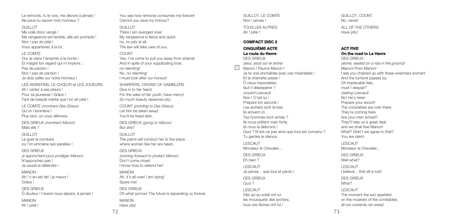Le remords, tu le vois, me dévore à jamais ! Ne peux-tu sauver mon honneur ?

#### GUILLOT

Me voilà donc vengé ! Ma vengeance est terrible, elle est prompte ! Non ! pas de pitié ! Vous appartenez à la loi.

### LE COMTE

Oui, je viens t'arracher à la honte ! Et malgré ton regard qui m'implore... Pas de pardon ! Non ! pas de pardon ! Je dois veiller sur notre honneur !

LES AIGREFINS, LE CHŒUR et LES JOUEURS Ah ! cédez à ses pleurs ! Pour sa jeunesse ! Grâce ! Tant de beauté mérite que l'on ait pitié !

LE COMTE *(montrant Des Grieux)* Qu'on l'emmène ! Plus tard, on vous délivrera.

DES GRIEUX *(montrant Manon)* Mais elle ?

#### GUILLOT

Le guet la conduira où l'on emmène ses pareilles !

#### DES GRIEUX

*(s'approchant pour protéger Manon)* N'approchez pas ! Je saurai la défendre !

#### MANON Ah ! c'en est fait ! je meurs ! Grâce !

DES GRIEUX

Ô douleur ! l'avenir nous sépare, à jamais !

MANON Ah ! pitié !

You see how remorse consumes me forever! Cannot you save my honour?

### GUILLOT.

There I am avenged now! My vengeance is fierce and quick. no, no pity at all. The law will take care of you.

### COUNT

Yes, I've come to pull you away from shame! And in spite of your supplicating look. no relenting! No, no relenting! I must look after our honour!

SHARPERS, CROWD OF GAMBLERS Give in to her tears! For the sake of her youth, have mercy! So much beauty deserves pity.

COUNT *(pointing to Des Grieux)* Let him be taken away! You'll be freed later.

DES GRIEUX *(going to Manon)* But she?

### GUILLOT

The patrol will conduct her to the place where women like her are taken.

### DES GRIEUX

*(coming forward to protect Manon)* Don't come close! I know how to defend her!

### MANON

Ah, it's all over! I am dying! Spare me! DES GRIEUX Oh what sorrow! The future is separating us forever. MANON Have pity!

GUILLOT, LE COMTE Non ! jamais ! TOUS LES AUTRES Ah ! pitié !

#### **COMPACT DISC 3**

### **CINQUIÈME ACTE La route du Havre**

DES GRIEUX *(seul, assis sur le tertre)* Manon ! Pauvre Manon ! Je te vois enchaînée avec ces misérables ! Et la charrette passe ! Ô cieux inexorables, faut-il désespérer ? *(voyant Lescaut)* Non ! C'est lui ! Prépare ton escorte ! Les archers sont là-bas. Ils arrivent ici. Tes hommes sont armés ? Ils nous prêtent main forte, et nous la délivrons ! Quoi ? N'est-ce pas ainsi que tout est convenu ? Tu gardes le silence. LESCAUT Monsieur le Chevalier... DES GRIEUX Eh bien ? LESCAUT Je pense... que tout et perdu ! DES GRIEUX Quoi ? LESCAUT 帀

Dès qu'au soleil ont lui les mousquets des archers, tous ces lâches ont fui !

GUILLOT, COUNT No, never! ALL OF THE OTHERS Have pity!

### **ACT FIVE On the road to Le Havre**

DES GRIEUX *(alone, seated on a rise in the ground)* Manon! Poor Manon! I see you chained up with these wretched women! And the tumbrel passes by. Oh implacable fate, must I despair? *(seeing Lescaut)* No! He's here! Prepare your escort! The constables are over there. They're coming here. Are your men armed? They'll help us a great deal and we shall free Manon! What? Didn't we agree to that? You are silent. LESCAUT Monsieur le Chevalier... DES GRIEUX Well what? LESCAUT I believe... that all is lost! DES GRIEUX What? LESCAUT The moment the sun sparkled on the muskets of the constables, all our cowards ran away!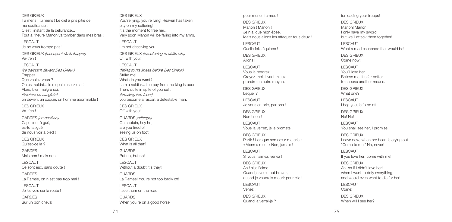DES GRIEUX Tu mens ! tu mens ! Le ciel a pris pitié de ma souffrance ! C'est l'instant de la délivrance... Tout à l'heure Manon va tomber dans mes bras !

LESCAUT Je ne vous trompe pas !

DES GRIEUX *(menaçant de le frapper)* Va-t'en ! LESCAUT *(se baissant devant Des Grieux)* Frappez ! Que voulez-vous ?

On est soldat... le roi paie assez mal ! Alors, bien malgré soi, *(éclatant en sanglots)* on devient un coquin, un homme abominable !

DES GRIEUX Va-t'en !

GARDES *(en coulisse)* Capitaine, ô gué, es-tu fatigué de nous voir à pied !

DES GRIEUX Qu'est-ce là ?

**GARDES** Mais non ! mais non !

LESCAUT Ce sont eux, sans doute !

GARDES La Ramée, on n'est pas trop mal !

LESCAUT Je les vois sur la route !

**GARDES** Sur un bon cheval

DES GRIEUX You're lying, you're lying! Heaven has taken pity on my suffering! It's the moment to free her... Very soon Manon will be falling into my arms. LESCAUT I'm not deceiving you. DES GRIEUX *(threatening to strike him)* Off with you! LESCAUT *(falling to his knees before Des Grieux)* Strike me! What do you want? I am a soldier... the pay from the king is poor. Then, quite in spite of yourself, *(breaking into tears)* you become a rascal, a detestable man.

DES GRIEUX Off with you!

GUARDS *(offstage)* Oh captain, hey ho, are you tired of seeing us on foot!

DES GRIEUX What is all that?

GUARDS But no, but no!

LESCAUT Without a doubt it's they! GUARDS La Ramée! You're not too badly off!

LESCAUT I see them on the road.

GUARDS When you're on a good horse pour mener l'armée ! DES GRIEUX Manon ! Manon ! Je n'ai que mon épée. Mais nous allons les attaquer tous deux !

LESCAUT Quelle folle équipée !

DES GRIEUX Allons !

LESCAUT Vous la perdrez ! Croyez-moi, il vaut mieux prendre un autre moyen.

DES GRIEUX Lequel ?

LESCAUT Je vous en prie, partons ! DES GRIEUX

Non ! non !

LESCAUT Vous la verrez, je le promets !

DES GRIEUX Partir ! Lorsque son cœur me crie : « Viens à moi ! » Non, jamais !

LESCAUT Si vous l'aimez, venez !

DES GRIEUX Ah ! si je l'aime ! Quand je veux tout braver, quand je voudrais mourir pour elle ! LESCAUT

Venez !

DES GRIEUX Quand la verrai-ie ? for leading your troops! DES GRIEUX Manon! Manon! I only have my sword, but we'll attack them together! LESCAUT What a mad escapade that would be! DES GRIEUX Come now! LESCAUT You'll lose her! Believe me, it's far better to choose another means. DES GRIEUX What one? LESCAUT I beg you, let's be off! DES GRIEUX No! No! LESCAUT You shall see her, I promise! DES GRIEUX Leave now, when her heart is crying out "Come to me!" No, never! LESCAUT If you love her, come with me! DES GRIEUX

Ah! As if I didn't love her! when I want to defy everything. and would even want to die for her!

LESCAUT Come!

DES GRIEUX When will I see her?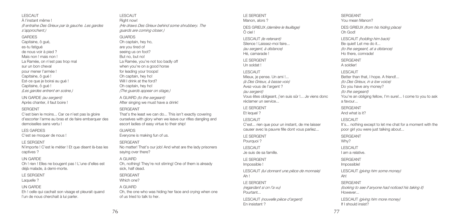LESCAUT À l'instant même ! *(Il entraîne Des Grieux par la gauche. Les gardes <sup>s</sup>'approchent.)* **GARDES** Capitaine, ô gué, es-tu fatigué de nous voir à pied ? Mais non ! mais non ! La Ramée, on n'est pas trop mal sur un bon cheval pour mener l'armée ! Capitaine, ô gué ! Est-ce que je boirai au gué ! Capitaine, ô gué ! *(Les gardes entrent en scène.)* UN GARDE *(au sergent)* Après chanter, il faut boire ! **SERGENT** C'est bien le moins... Car ce n'est pas la gloire d'escorter l'arme au bras et de faire embarquer des demoiselles sans vertu ! LES GARDES C'est se moquer de nous ! LE SERGENT N'importe ! C'est le métier ! Et que disent là-bas les

captives ?

### UN GARDE

Oh ! rien ! Elles ne bougent pas ! L'une d'elles est déjà malade, à demi-morte.

#### LE SERGENT

Laquelle ?

### UN GARDE

Eh ! celle qui cachait son visage et pleurait quand l'un de nous cherchait à lui parler.

LESCAUT Right now! *(He draws Des Grieux behind some shrubbery. The guards are coming closer.)*

### **GUARDS**

Oh captain, hey ho, are you tired of seeing us on foot? But no, but no! La Ramée, you're not too badly off when you're on a good horse for leading your troops! Oh captain, hey ho! Will I drink at the ford? Oh cantain, hey ho! *(The guards appear on stage.)* A GUARD *(to the sergeant)* After singing we must have a drink! SERGEANT That's the least we can do... This isn't exactly covering

ourselves with glory when we leave our rifles dangling and escort ladies of easy virtue to their ship!

### GUARDS

Everyone is making fun of us.

### SERGEANT

No matter! That's our job! And what are the lady prisoners saying over there?

### A GUARD

Oh, nothing! They're not stirring! One of them is already sick, half dead.

#### SERGEANT

Which one?

### A GUARD

Oh, the one who was hiding her face and crying when one of us tried to talk to her.

#### LE SERGENT Manon, alors 2

DES GRIEUX *(derrière le feuillage)* Ô ciel !

LESCAUT *(le retenant)* Silence ! Laissez-moi faire... *(au sergent, à distance)* Hé, camarade !

LE SERGENT Un soldat !

#### LESCAUT

Mieux, je pense. Un ami !... *(à Des Grieux, à basse voix)* Avez-vous de l'argent ? *(au sergent)* Vous êtes obligeant, j'en suis sûr !... Je viens donc réclamer un service...

LE SERGENT Et lequel ?

### LESCAUT

C'est... rien que pour un instant, de me laisser causer avec la pauvre fille dont vous parliez...

LE SERGENT Pourquoi ? LESCAUT

Je suis de sa famille.

LE SERGENT

Impossible !

LESCAUT *(lui donnant une pièce de monnaie)* Ah !

### LE SERGENT *(regardant si on l'a vu)* Pourtant...

LESCAUT *(nouvelle pièce d'argent)* En insistant ?

#### SERGEANT You mean Manon?

DES GRIEUX *(from his hiding place)* Oh God!

LESCAUT *(holding him back)* Be quiet! Let me do it... *(to the sergeant, at a distance)* Ho there, comrade!

SERGEANT A soldier!

### LESCAUT Better than that, I hope. A friend! *(to Des Grieux, in a low voice)* Do you have any money? *(to the sergeant)* You're an obliging fellow, I'm sure!... I come to you to ask a favour...

SERGEANT And what is it?

### LESCAUT

It's... nothing except to let me chat for a moment with the poor girl you were just talking about...

SERGEANT Why? LESCAUT I am a relative. SERGEANT Impossible! LESCAUT *(giving him some money)* Ah!

SERGEANT *(looking to see if anyone had noticed his taking it)* However...

LESCAUT *(giving him more money)* If I should insist?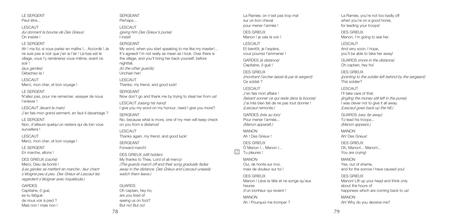## LE SERGENT

Peut-être...

LESCAUT *(lui donnant la bourse de Des Grieux)* On insiste !

#### LE SERGENT

Ah ! ma foi, si vous parlez en maître !... Accordé ! Je ne suis pas si noir que j'en ai l'air ! Là-bas est le village, vous l'y ramènerez vous-même, avant ce soir ! *(aux gardes)* Détachez-la !

### LESCAUT

Merci, mon cher, et bon voyage !

#### LE SERGENT

N'allez pas, pour me remercier, essayer de nous l'enlever !

LESCAUT *(levant la main)* J'en fais mon grand serment, en faut-il davantage ?

### LE SERGENT

Non, d'ailleurs quelqu'un restera qui de loin vous surveillera !

#### LESCAUT

Merci, mon cher, et bon voyage !

#### LE SERGENT

En marche, allons !

DES GRIEUX *(caché)*

Merci, Dieu de bonté ! *(Les gardes se mettent en marche ; leur chant <sup>s</sup>'éloigne peu à peu. Des Grieux et Lescaut les regardent s'éloigner avec inquiétude.)*

### GARDES

Capitaine, ô gué, es-tu fatigué de nous voir à pied ? Mais non ! mais non !

#### SERGEANT Perhans

LESCAUT *(giving him Des Grieux's purse)* I insist!

### SERGEANT

My word, when you start speaking to me like my master!... It's agreed! I'm not really as mean as I look. Over there is the village, and you'll bring her back yourself, before nightfall. *(to the other guards)*

Unchain her!

LESCAUT

Thanks, my friend, and good luck!

### SERGEANT

Now don't go and thank me by trying to steal her from us!

LESCAUT *(raising his hand)* I give you my word on my honour, need I give you more?

#### SERGEANT

No, because what is more, one of my men will keep check on you from a distance!

### LESCAUT Thanks again, my friend, and good luck!

SERGEANT Forward march!

DES GRIEUX *(still hidden)* My thanks to Thee, Lord of all mercy! *(The guards march off and their song gradually fades away in the distance. Des Grieux and Lescaut uneasily watch them leave.)*

### GUARDS

Oh captain, hey ho, are you tired of seeing us on foot? But no! But no!

La Ramée, on n'est pas trop mal sur un bon cheval pour mener l'armée ! DES GRIEUX

Manon ! je vais la voir !

LESCAUT Et bientôt, je l'espère, vous pourrez l'emmener !

GARDES *(à distance)* Capitaine, ô gué !

#### DES GRIEUX *(montrant l'archer laissé là par le sergent)* Ce soldat ?

LESCAUT J'en fais mon affaire ! *(faisant sonner ce qui reste dans la bourse)* J'ai très bien fait de ne pas tout donner ! *(Lescaut remonte.)*

GARDES *(très au loin)* Pour mener l'armée... *(Manon apparaît.)*

MANON Ah ! Des Grieux !

DES GRIEUX Ô Manon !... Manon !... Tu pleures !  $|2|$ 

### MANON

Oui, de honte sur moi, mais de douleur sur toi !

#### DES GRIEUX Manon ! Lève ta tête et ne songe qu'aux heures d'un bonheur qui revient !

MANON Ah ! Pourquoi me tromper ? La Ramée, you're not too badly off when you're on a good horse for leading your troops! DES GRIEUX Manon, I'm going to see her.

#### LESCAUT

And very soon, I hope, you'll be able to take her away!

GUARDS *(more in the distance)* Oh captain, hey ho!

#### DES GRIEUX

*(pointing to the soldier left behind by the sergeant)* This soldier?

#### LESCAUT

I'll take care of that. *(jingling the money still left in the purse)* I was clever not to give it all away. *(Lescaut goes back up the hill.)*

GUARDS *(very far away)* To lead his troops... *(Manon appears.)*

MANON Ah! Des Grieux!

DES GRIEUX Oh, Manon!... Manon!... You are crying!

### MANON

Yes, out of shame, and for the sorrow I have caused you!

### DES GRIEUX

Manon! Lift up your head and think only about the hours of happiness which are coming back to us!

MANON Ah! Why do you deceive me?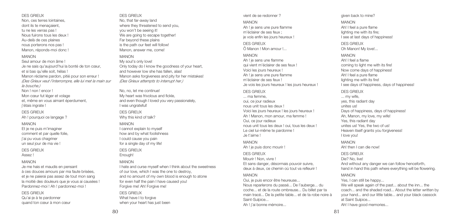Qu'ai-je à te pardonner quand ton cœur à mon cœur

DES GRIEUX Non, ces terres lointaines, dont ils te menaçaient, tu ne les verras pas ! Nous fuirons tous les deux ! Au-delà de ces plaines nous porterons nos pas ! Manon, réponds-moi donc !

#### MANON

Seul amour de mon âme ! Je ne sais qu'aujourd'hui la bonté de ton cœur, et si bas qu'elle soit, hélas ! Manon réclame pardon, pitié pour son erreur ! *(Des Grieux veut l'interrompre, elle lui met la main sur la bouche.)* Non ! non ! encor ! Mon cœur fut léger et volage et, même en vous aimant éperdument j'étais ingrate !

### DES GRIEUX

Ah ! pourquoi ce langage ?

### MANON

Et je ne puis m'imaginer comment et par quelle folie, i'ai pu vous chagriner un seul jour de ma vie !

### DES GRIEUX

Assez !

### MANON

Je me hais et maudis en pensant à ces douces amours par ma faute brisées, et je ne pajeraj pas assez de tout mon sang la moitié des douleurs que je vous ai causées ! Pardonnez-moi ! Ah ! pardonnez-moi !

### DES GRIEUX

#### DES GRIEUX No, that far-away land where they threatened to send you, you won't be seeing it! We are going to escape together! Far beyond these plains is the path our feet will follow! Manon, answer me, come!

### MANON

My soul's only love! Only today do I know the goodness of your heart, and however low she has fallen, alas! Manon asks forgiveness and pity for her mistakes! *(Des Grieux attempts to interrupt her.)*

No, no, let me continue! My heart was frivolous and fickle, and even though I loved you very passionately, I was ungrateful!

DES GRIEUX Why this kind of talk?

### MANON

I cannot explain to myself how and by what foolishness I could cause you pain for a single day of my life!

#### DES GRIEUX Enough! MANON

I hate and curse myself when I think about the sweetness of our love, which I was the one to destroy, and no amount of my own blood is enough to atone for even half the pain I have caused you! Forgive me! Ah! Forgive me!

DES GRIEUX What have I to forgive when your heart has just been

#### vient de se redonner ?

#### MANON

Ah ! je sens une pure flamme m'éclairer de ses feux ; je vois enfin les jours heureux !

DES GRIEUX Ô Manon ! Mon amour !...

### MANON

Ah ! je sens une flamme qui vient m'éclairer de ses feux ! Voici les jours heureux ! Ah ! je sens une pure flamme m'éclairer de ses feux ! Je vois les jours heureux ! les jours heureux ! DES GRIEUX ... ma femme, oui, ce jour radieux nous unit tous les deux ! Voici les jours heureux ! les jours heureux ! Ah ! Manon, mon amour, ma femme ! Oui, ce jour radieux nous unit tous les deux ! oui, tous les deux ! Le ciel lui-même te pardonne ! Je t'aime !

MANON

Ah ! je puis donc mourir !

### DES GRIEUX Mourir ! Non, vivre ! Et sans danger, désormais pouvoir suivre, deux à deux, ce chemin où tout va refleurir !

### MANON

Oui, je puis encor être heureuse... Nous reparlerons du passé... De l'auberge... du coche... et de la route ombreuse... Du billet par ta main tracé... De la petite table... et de ta robe noire à Saint-Sulpice...

Ah ! j'ai bonne mémoire...

given back to mine?

### MANON

Ah! I feel a pure flame lighting me with its fire; I see at last days of happiness!

DES GRIEUX Oh Manon! My love!...

### MANON

Ah! I feel a flame coming to light me with its fire! Now come days of happiness! Ah! I feel a pure flame lighting me with its fire! I see days of happiness, days of happiness! DES GRIEUX ... my wife, yes, this radiant day unites us! Days of happiness, days of happiness! Ah, Manon, my love, my wife! Yes, this radiant day unites us! Yes, the two of us! Heaven itself grants you forgiveness! I love you! MANON Ah! then I can die now! DES GRIEUX Die? No, live! And without any danger we can follow henceforth, hand in hand this path where everything will be flowering. MANON

Yes, I can still be happy...

We will speak again of the past... about the inn... the coach... and the shaded road... About the letter written by your hand... and our little table... and your black cassock at Saint Sulpice... Ah! I have good memories...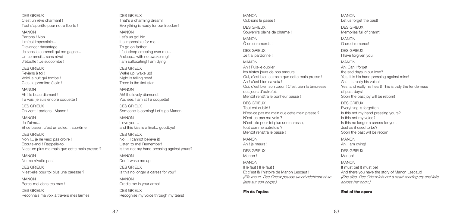DES GRIEUX C'est un rêve charmant ! Tout s'apprête pour notre liberté !

MANON

Partons ! Non... Il m'est impossible... D'avancer davantage... Je sens le sommeil qui me gagne... Un sommeil... sans réveil ! J'étouffe ! Je succombe !

DES GRIEUX

Reviens à toi ! Voici la nuit qui tombe ! C'est la première étoile !

MANON Ah ! le beau diamant ! Tu vois, je suis encore coquette !

DES GRIEUX On vient ! partons ! Manon !

MANON Je t'aime... Et ce baiser, c'est un adieu... suprême !

DES GRIEUX Non !... je ne veux pas croire ! Écoute-moi ! Rappelle-toi ! N'est-ce plus ma main que cette main presse ?

MANON Ne me réveille pas !

DES GRIEUX N'est-elle pour toi plus une caresse ?

MANON Berce-moi dans tes bras !

DES GRIEUX Reconnais ma voix à travers mes larmes ! DES GRIEUX That's a charming dream! Everything is ready for our freedom!

### MANON

Let's us go! No... It's impossible for me... To go on farther... I feel sleep creeping over me... A sleep... with no awakening! I am suffocating! I am dying!

#### DES GRIEUX

Wake up, wake up! Night is falling now! There is the first starl

MANON Ah! the lovely diamond! You see, I am still a coquette!

DES GRIEUX Someone is coming! Let's go Manon!

MANON I love you… and this kiss is a final... goodbye!

DES GRIEUX No!... I cannot believe it! Listen to me! Remember! Is this not my hand pressing against yours? MANON Don't wake me up!

DES GRIEUX Is this no longer a caress for you?

MANON Cradle me in your arms! DES GRIEUX Recognise my voice through my tears! MANON Oublions le passé !

DES GRIEUX Souvenirs pleins de charme !

MANON Ô cruel remords !

DES GRIEUX Je t'ai pardonné !

MANON Ah ! Puis-je oublier les tristes jours de nos amours ! Oui, c'est bien sa main que cette main presse ! Ah I c'est bien sa voix l Oui, c'est bien son cœur ! C'est bien la tendresse des jours d'autrefois ! Bientôt renaîtra le bonheur passé !

### DES GRIEUX

Tout est oublié ! N'est-ce pas ma main que cette main presse ? N'est-ce pas ma voix ? N'est-elle pour toi plus une caresse, tout comme autrefois ? Bientôt renaîtra le passé !

MANON Ah ! je meurs !

DES GRIEUX Manon !

MANON Il le faut ! Il le faut ! Et c'est là l'histoire de Manon Lescaut ! *(Elle meurt. Des Grieux pousse un cri déchirant et se jette sur son corps.)*

### **Fin de l'opéra**

MANON Let us forget the past!

DES GRIEUX Memories full of charm!

MANON O cruel remorse!

DES GRIEUX I have forgiven you!

MANON Ah! Can I forget the sad days in our love? Yes, it is his hand pressing against mine! Ah! It is really his voice! Yes, and really his heart! This is truly the tenderness of past days! Soon the past joy will be reborn!

DES GRIEUX Everything is forgotten! Is this not my hand pressing yours? Is this not my voice? Is this no longer a caress for you. Just as it used to be? Soon the past will be reborn.

MANON Ah! I am dying! DES GRIEUX Manon!

MANON It must be! It must be! And there you have the story of Manon Lescaut! *(She dies. Des Grieux lets out a heart-rending cry and falls across her body.)*

### **End of the opera**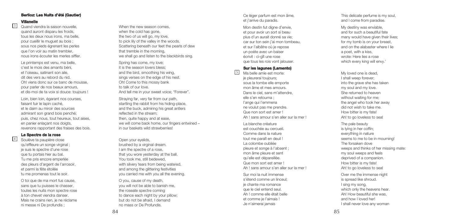#### Berlioz: Les Nuits d'été (Gautier)

#### **V i l l a n e I I e**

Quand viendra la saison nouvelle, quand auront disparu les froids, tous les deux nous irons, ma belle, pour cueillir le muguet au bois ; sous nos pieds égrenant les perles que l'on voir au matin trembler. nous irons écouter les merles siffler.

Le printemps est venu, ma belle, c'est le mois des amants béni, et l'oiseau, satinant son aile, dit des vers au rebord du nid. Oh! viens donc sur ce banc de mousse, pour parler de nos beaux amours, et dis-moi de ta voix si douce: toujours !

Loin, bien loin, égarant nos courses, faisant fuir le lapin caché, et le daim au miroir des sources admirant son grand bois penché; puis, chez nous, tout heureux, tout aises, en panier enlaçant nos doigts, revenons rapportant des fraises des bois. 43 When the new season or comes,<br>
43 When the cod has gone,<br>
tous les deux nous irons, ma belle,<br>
the two of us will go, my love,<br>
pour cuellir le muguet au bois;<br>
sous nos pieds égrenant les perles<br>
sous nos pieds égrenan

### **Le Spectre de la rose**

<sup>4</sup> Soulève ta paupière close qu'effleure un songe virginal ; je suis le spectre d'une rose que tu portais hier au bal. Tu me pris encore emperlée des pleurs d'argent de l'arrosoir, et parmi la fête étoilée tu me promenas tout le soir.

> O toi que de ma mort fus cause, sans que tu puisses le chasser, toutes les nuits mon spectre rose à ton chevet viendra danser. Mais ne crains rien, je ne réclame ni messe ni De profundis ;

when the cold has gone. the two of us will go, my love. to pick lily of the valley in the woods. Scattering beneath our feet the pearls of dew that tremble in the morning, we shall go and listen to the blackbirds sing.

Spring has come, my love; it is the season lovers bless; and the bird, smoothing his wing, sings verses on the edge of his nest. Oh! Come to this mossy bank to talk of our love. And tell me in your sweet voice; "Forever".

Straying far, very far from our path, startling the rabbit from his hiding-place, and the buck, admiring his great antlers reflected in the stream; then, quite happy and at ease, we will come back home, our fingers entwined – in our baskets wild strawberries!

Open your eyelids, brushed by a virginal dream. I am the spectre of a rose, that you wore yesterday at the ball. You took me, still bedewed, with silvery tears from being watered, and among the glittering festivities you carried me with you all the evening.

O you, cause of my death, you will not be able to banish me, the roseate spectre coming to dance each night by your pillow; but do not be afraid, I demand no mass or De Profundis.

Ce léger parfum est mon âme, et j'arrive du paradis.

Mon destin fut digne d'envie, et pour avoir un sort si beau plus d'un aurait donné sa vie; car sur ton sein i'ai mon tombeau, et sur l'albâtre où je repose un poète avec un baiser écrivit : ci-gît une rose que tous les rois vont jalouser.

### **Sur les lagunes (Lamento)**

 $\sqrt{5}$ 

Ma belle amie est morte: je pleurerai toujours; sous la tombe elle emporte mon âme et mes amours. Dans le ciel, sans m'attendre elle s'en retourna ; l'ange qui l'emmena ne voulut pas me prendre. Que non sort est amer ! Ah ! sans amour s'en aller sur la mer !

La blanche créature est couchée au cercueil. Comme dans la nature tout me paraît en deuil ! La colombe oubliée pleure et songe à l'absent ; mon âme pleure et sent qu'elle est dépareillée. Que mon sort est amer ! Ah ! sans amour s'en aller sur la mer !

Sur moi la nuit immense s'étend comme un linceul; je chante ma romance que le ciel entend seul. Ah ! comme elle était belle et comme je l'aimais ! Je n'aimerai jamais

This delicate perfume is my soul, and I come from paradise.

My destiny was enviable, and for such a beautiful fate many would have given their lives; for my tomb is on your breast, and on the alabaster where I lie a noat, with a kiss, wrote: Here lies a rose which every king will envy.'

My loved one is dead, I shall weep forever; into the grave she has taken my soul and my love. She returned to heaven without waiting for me: the angel who took her away did not wish to take me. How bitter is my fate! Ah! to go loveless to sea!

The pale beauty is lying in her coffin; everything in nature seems to me to be in mourning! The forsaken dove weeps and thinks of her missing mate: my soul weeps and feels deprived of a companion. How bitter is my fate! Ah! to go loveless to sea!

Over me the immense night is spread like shroud. I sing my song, which only the heavens hear. Ah! How beautiful she was, and how I loved her! I shall never love any woman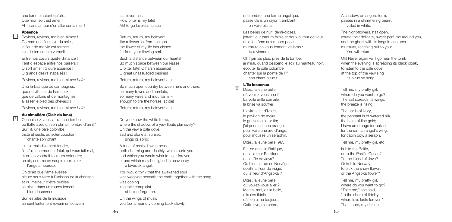une femme autant qu'elle. Que mon sort est amer ! Ah ! sans amour s'en aller sur la mer !

#### **Absence**

7

Reviens, reviens, ma bien-aimée ! Comme une fleur loin du soleil, la fleur de ma vie est fermée loin de ton sourire vermeil. **6** 

> Entre nos cœurs quelle distance ! Tant d'espace entre nos baisers ! O sort amer ! ô dure absence ! O grands désirs inapaisés !

Reviens, reviens, ma bien-aimée ! *etc*.

D'ici là-bas que de campagnes, que de villes et de hameaux, que de vallons et de montagnes, à lasser le pied des chevaux !

Reviens, reviens, ma bien-aimée ! *etc*.

### **Au cimetière (Clair de lune)**

Connaissez-vous la blanche tombe où flotte avec un son plaintif l'ombre d'un if? Sur l'if, une pâle colombe, triste et seule, au soleil couchant, chante son chant :

Un air maladivement tendre, à la fois charmant et fatal, qui vous fait mal, et qu'on voudrait toujours entendre; un air, comme en soupire aux cieux l'ange amoureux.

On dirait que l'âme éveillée pleure sous terre à l'unisson de la chanson, et du malheur d'être oubliée se plaint dans un roucoulement bien doucement.

Sur les ailes de la musique on sent lentement revenir un souvenir;

as I loved her. How bitter is my fate! Ah! to go loveless to sea!

Return, return, my beloved! like a flower far from the sun the flower of my life has closed far from your flowing smile.

Such a distance between our hearts! So much space between our kisses! O bitter fate! O harsh absence! O great unassuaged desires!

Return, return, my beloved! etc.

So much open country between here and there, so many towns and hamlets. so many vales and mountains – enough to tire the horses' stride!

Return, return, my beloved! etc.

Do you know the white tomb, where the shadow of a yew floats plaintively? On the yew a pale dove, sad and alone at sunset sings its song:

A tune of morbid sweetness both charming and deathly, which hurts you and which you would wish to hear forever; a tune which may be sighed in heaven by a lovesick angel.

You would think that the awakened soul was weeping beneath the earth together with the song, was cooing in gentle complaint at being forgotten.

On the wings of music you feel a memory coming back slowly.

une ombre, une forme angélique, passe dans un rayon tremblant, en voile blanc.

Les belles de nuit, demi-closes, jettent leur parfum faible et doux autour de vous, et le fantôme aux molles poses murmure en vous tendant les bras : tu reviendras !

Oh ! jamais plus, près de la tombe, je n'irai, quand descend le soir au manteau noir, écouter la pâle colombe chanter sur la pointe de l'if son chant plaintif.

#### **L'île inconnue** 8

Dites, la jeune belle, où voulez-vous aller? La voile enfle son aile, la brise va souffler !

L'aviron est d'ivoire, le pavillon de moire, le gouvernail d'or fin; j'ai pour lest une orange, pour voile une aile d'ange, pour mousse un séraphin.

Dites, la jeune belle, *etc*.

Est-ce dans la Baltique, dans la mer Pacifique, dans l'île de Java? Ou bien est-ce en Norvège, cueillir la fleur de neige, ou la fleur d'Angsoka ?

Dites, la jeune belle, où voulez-vous aller ? Menez-moi, dit la belle, à la rive fidèle où l'on aime toujours. Cette rive, ma chère,

A shadow, an angelic form, passes in a shimmering beam, veiled in white.

The night-flowers, half open. exude their delicate, sweet perfume around you, and the ghost with its languid gestures murmurs, reaching out to you: You will return!

Oh! Never again will I go near the tomb, when the evening is spreading its black cloak. to listen to the pale dove at the top of the yew sing its plaintive song.

Tell me, my pretty girl, where do you want to go? The sail spreads its wings. the breeze is rising.

The oar is of ivory, the pennant is of watered silk, the helm of fine gold; I have an orange for ballast, for the sail, an angel's wing. for cabin boy, a seraph.

Tell me, my pretty girl, etc.

Is it to the Baltic, or to the Pacific Ocean? To the island of Java? Or is it to Norway, to pick the snow flower, or the Angsoka flower?

Tell me, my pretty girl, where do you want to go? "Take me," she said, "to the shore of fidelity where love lasts forever!" That shore, my darling,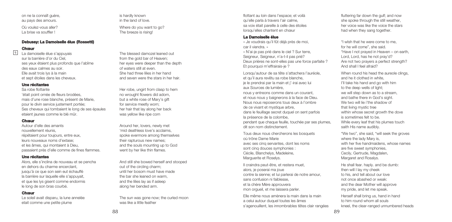Où voulez-vous aller? La brise va souffler !

### **Debussy: La Damoiselle élue (Rossetti)**

**Chœur**

9

La damoiselle élue s'appuyais sur la barrière d'or du Ciel, ses yeux étaient plus profonds que l'abîme des eaux calmes au soir. Elle avait trois lys à la main et sept étoiles dans les cheveux.

#### **Une récitantes**

Sa robe flottante 'était point ornée de fleurs brodées, mais d'une rose blanche, présent de Marie, pour le divin service justement portée; Ses cheveux qui tombaient le long de ses épaules etaient jaunes comme le blé mûr.

### **Chœur**

Autour d'elle des amants nouvellement réunis, répétaient pour toujours, entre eux, leurs nouveaux noms d'extase; et les âmes, qui montaient à Dieu, passaient près d'elle comme de fines flammes.

### **Une récitantes**

Alors, elle s'inclina de nouveau et se pencha en dehors du charme encerclant jusqu'à ce que son sein eut échauffé la barrière sur laquelle elle s'appuyait. et que les lys gisent comme endormis le long de son bras courbé.

### **Chœur**

Le soleil avait disparu, la lune annelée etait comme une petite plume

is hardly known in the land of love.

Where do you want to go? The breeze is rising!

The blessed damozel leaned out from the gold bar of Heaven; her eyes were deeper than the depth of waters still at even. She had three lilies in her hand and seven were the stars in her hair

Her robe, ungirt from clasp to hem no wrought flowers did adorn, but a white rose of Mary's gift for service meetly worn; her hair that lay along her back was yellow like ripe corn

Around her, lovers, newly met 'mid deathless love's acclaims, spoke evermore among themselves their rapturous new names; and the souls mounting up to God went by her like thin flames.

And still she bowed herself and stooped out of the circling charm; until her bosom must have made the bar she leaned on warm, and the lilies lay as if asleep along her bended arm.

The sun was gone now; the curled moon was like a little feather

flottant au loin dans l'espace; et voilà qu'elle parla à travers l'air calme, sa voix était pareille à celle des étoiles lorsqu'elles chantent en chœur

### **La Damoiselle élue**

« Je voudrais qu'il fût déjà près de moi, car il viendra. » « N'ai-je pas prié dans le ciel ? Sur terre, Seigneur, Seigneur, n'a-t-il pas prié?

Deux prières ne sont-elles pas une force parfaite ? Et pourquoi m'effrairais-je ?

Lorsqu'autour de sa tête s'attachera l'auréole, et qu'il aura revêtu sa robe blanche, je le prendrai par la main et j'-irai avec lui aux Sources de lumière, nous y entreons comme dans un courant, et nous nous y baignerons à la face de Dieu. Nous nous reposerons tous deux à l'ombre de ce vivant et mystique arbre, dans le feuillage secret duquel on sent parfois la présence de la colombe, pendant que chaque feuille, touchée par ses plumes, dit son nom distinctement.

Tous deux nous chercherons les bosquets où trône Dame Marie avec ses cinq servantes, dont les noms sont cinq douces symphonies : Cécile, Blanchelys, Madeleine, Marguerite et Roselys.

Il craindra peut-être, et restera muet, alors, je poserai ma joue contre la sienne; et lui parlerai de notre amour, sans confusion ni faiblesse, et la chère Mère approuvera mon orgueil, et me laissera parler.

Elle même nous amènera la main dans la main a celui autour duquel toutes les âmes s'agenouillent, les innombrables têtes clair rangées fluttering far down the gulf; and now she spoke through the still weather her voice was like the voice the stars had when they sang together.

"I wIsh that he were come to me, for he will come", she said. "Have I not prayed in Heaven – on earth, Lord, Lord, has he not pray'd? Are not two prayers a perfect strength? And shall I feel afraid?

When round his head the aureole clings, and he it clothed in white, I'll take his hand and go with him to the deep wells of light; we will step down as to a stream. and bathe there in God's sight. We two will lie i'the shadow of that living mystic tree within whose secret growth the dove is sometimes felt to be. While every leaf that his plumes touch saith His name audibly.

"We two", she said, "will seek the groves where the lady Mary is, with her five handmaidens, whose names are five sweet symphonies, Cecily, Gertrude, Magdalen, Margaret and Rosalys.

He shall fear. haply, and be dumb: then will I lay my cheek to his, and tell about our love not once abashed or weak: and the dear Mother will approve my pride, and let me speak.

Herself shall bring us, hand in hand to him round whom all souls kneel, the clear-ranged unnumbered heads